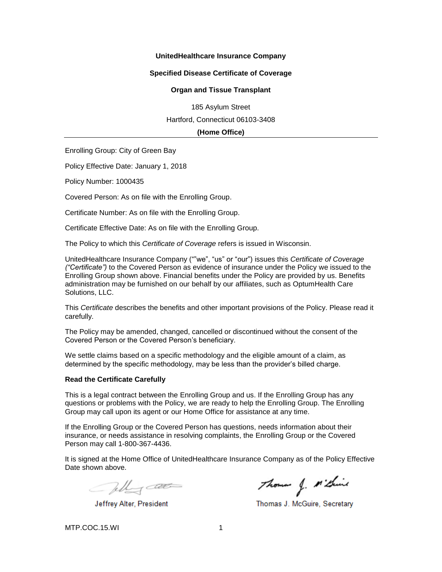### **UnitedHealthcare Insurance Company**

#### **Specified Disease Certificate of Coverage**

#### **Organ and Tissue Transplant**

185 Asylum Street Hartford, Connecticut 06103-3408

**(Home Office)**

Enrolling Group: City of Green Bay

Policy Effective Date: January 1, 2018

Policy Number: 1000435

Covered Person: As on file with the Enrolling Group.

Certificate Number: As on file with the Enrolling Group.

Certificate Effective Date: As on file with the Enrolling Group.

The Policy to which this *Certificate of Coverage* refers is issued in Wisconsin.

UnitedHealthcare Insurance Company (""we", "us" or "our") issues this *Certificate of Coverage ("Certificate")* to the Covered Person as evidence of insurance under the Policy we issued to the Enrolling Group shown above. Financial benefits under the Policy are provided by us. Benefits administration may be furnished on our behalf by our affiliates, such as OptumHealth Care Solutions, LLC.

This *Certificate* describes the benefits and other important provisions of the Policy. Please read it carefully.

The Policy may be amended, changed, cancelled or discontinued without the consent of the Covered Person or the Covered Person's beneficiary.

We settle claims based on a specific methodology and the eligible amount of a claim, as determined by the specific methodology, may be less than the provider's billed charge.

#### **Read the Certificate Carefully**

This is a legal contract between the Enrolling Group and us. If the Enrolling Group has any questions or problems with the Policy, we are ready to help the Enrolling Group. The Enrolling Group may call upon its agent or our Home Office for assistance at any time.

If the Enrolling Group or the Covered Person has questions, needs information about their insurance, or needs assistance in resolving complaints, the Enrolling Group or the Covered Person may call 1-800-367-4436.

It is signed at the Home Office of UnitedHealthcare Insurance Company as of the Policy Effective Date shown above.

Telly cat

Jeffrey Alter, President

Thomas J. M' Grind

Thomas J. McGuire, Secretary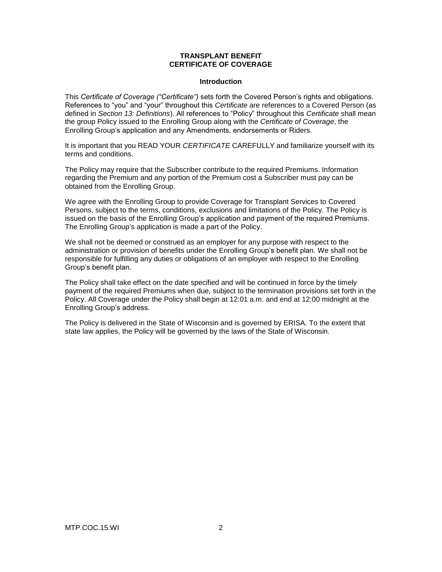### **TRANSPLANT BENEFIT CERTIFICATE OF COVERAGE**

#### **Introduction**

This *Certificate of Coverage ("Certificate")* sets forth the Covered Person's rights and obligations. References to "you" and "your" throughout this *Certificate* are references to a Covered Person (as defined in *Section 13: Definitions*). All references to "Policy" throughout this *Certificate* shall mean the group Policy issued to the Enrolling Group along with the *Certificate of Coverage*, the Enrolling Group's application and any Amendments, endorsements or Riders.

It is important that you READ YOUR *CERTIFICATE* CAREFULLY and familiarize yourself with its terms and conditions.

The Policy may require that the Subscriber contribute to the required Premiums. Information regarding the Premium and any portion of the Premium cost a Subscriber must pay can be obtained from the Enrolling Group.

We agree with the Enrolling Group to provide Coverage for Transplant Services to Covered Persons, subject to the terms, conditions, exclusions and limitations of the Policy. The Policy is issued on the basis of the Enrolling Group's application and payment of the required Premiums. The Enrolling Group's application is made a part of the Policy.

We shall not be deemed or construed as an employer for any purpose with respect to the administration or provision of benefits under the Enrolling Group's benefit plan. We shall not be responsible for fulfilling any duties or obligations of an employer with respect to the Enrolling Group's benefit plan.

The Policy shall take effect on the date specified and will be continued in force by the timely payment of the required Premiums when due, subject to the termination provisions set forth in the Policy. All Coverage under the Policy shall begin at 12:01 a.m. and end at 12:00 midnight at the Enrolling Group's address.

The Policy is delivered in the State of Wisconsin and is governed by ERISA. To the extent that state law applies, the Policy will be governed by the laws of the State of Wisconsin.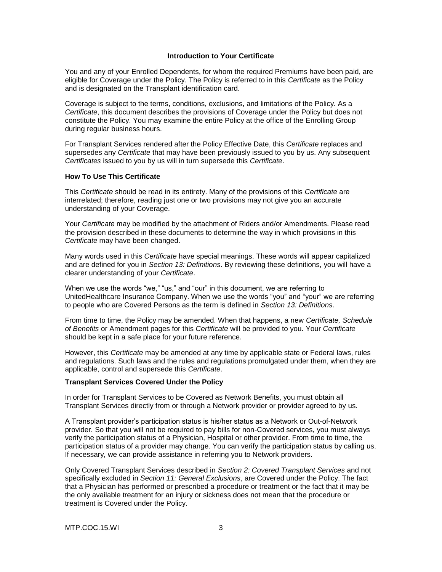### **Introduction to Your Certificate**

You and any of your Enrolled Dependents, for whom the required Premiums have been paid, are eligible for Coverage under the Policy. The Policy is referred to in this *Certificate* as the Policy and is designated on the Transplant identification card.

Coverage is subject to the terms, conditions, exclusions, and limitations of the Policy. As a *Certificate*, this document describes the provisions of Coverage under the Policy but does not constitute the Policy. You may examine the entire Policy at the office of the Enrolling Group during regular business hours.

For Transplant Services rendered after the Policy Effective Date, this *Certificate* replaces and supersedes any *Certificate* that may have been previously issued to you by us. Any subsequent *Certificates* issued to you by us will in turn supersede this *Certificate*.

### **How To Use This Certificate**

This *Certificate* should be read in its entirety. Many of the provisions of this *Certificate* are interrelated; therefore, reading just one or two provisions may not give you an accurate understanding of your Coverage.

Your *Certificate* may be modified by the attachment of Riders and/or Amendments. Please read the provision described in these documents to determine the way in which provisions in this *Certificate* may have been changed.

Many words used in this *Certificate* have special meanings. These words will appear capitalized and are defined for you in *Section 13: Definitions*. By reviewing these definitions, you will have a clearer understanding of your *Certificate*.

When we use the words "we," "us," and "our" in this document, we are referring to UnitedHealthcare Insurance Company. When we use the words "you" and "your" we are referring to people who are Covered Persons as the term is defined in *Section 13: Definitions*.

From time to time, the Policy may be amended. When that happens, a new *Certificate, Schedule of Benefits* or Amendment pages for this *Certificate* will be provided to you. Your *Certificate* should be kept in a safe place for your future reference.

However, this *Certificate* may be amended at any time by applicable state or Federal laws, rules and regulations. Such laws and the rules and regulations promulgated under them, when they are applicable, control and supersede this *Certificate*.

#### **Transplant Services Covered Under the Policy**

In order for Transplant Services to be Covered as Network Benefits, you must obtain all Transplant Services directly from or through a Network provider or provider agreed to by us.

A Transplant provider's participation status is his/her status as a Network or Out-of-Network provider. So that you will not be required to pay bills for non-Covered services, you must always verify the participation status of a Physician, Hospital or other provider. From time to time, the participation status of a provider may change. You can verify the participation status by calling us. If necessary, we can provide assistance in referring you to Network providers.

Only Covered Transplant Services described in *Section 2: Covered Transplant Services* and not specifically excluded in *Section 11: General Exclusions*, are Covered under the Policy. The fact that a Physician has performed or prescribed a procedure or treatment or the fact that it may be the only available treatment for an injury or sickness does not mean that the procedure or treatment is Covered under the Policy.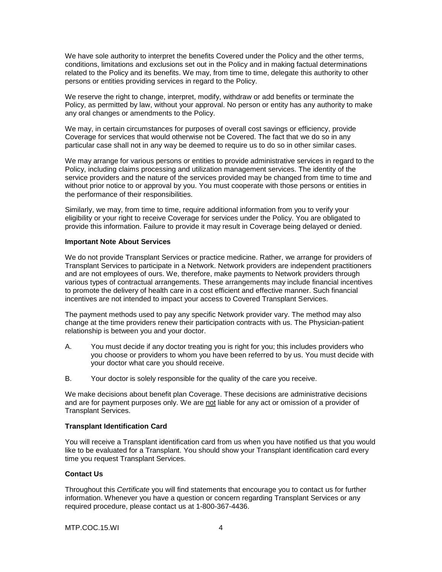We have sole authority to interpret the benefits Covered under the Policy and the other terms, conditions, limitations and exclusions set out in the Policy and in making factual determinations related to the Policy and its benefits. We may, from time to time, delegate this authority to other persons or entities providing services in regard to the Policy.

We reserve the right to change, interpret, modify, withdraw or add benefits or terminate the Policy, as permitted by law, without your approval. No person or entity has any authority to make any oral changes or amendments to the Policy.

We may, in certain circumstances for purposes of overall cost savings or efficiency, provide Coverage for services that would otherwise not be Covered. The fact that we do so in any particular case shall not in any way be deemed to require us to do so in other similar cases.

We may arrange for various persons or entities to provide administrative services in regard to the Policy, including claims processing and utilization management services. The identity of the service providers and the nature of the services provided may be changed from time to time and without prior notice to or approval by you. You must cooperate with those persons or entities in the performance of their responsibilities.

Similarly, we may, from time to time, require additional information from you to verify your eligibility or your right to receive Coverage for services under the Policy. You are obligated to provide this information. Failure to provide it may result in Coverage being delayed or denied.

#### **Important Note About Services**

We do not provide Transplant Services or practice medicine. Rather, we arrange for providers of Transplant Services to participate in a Network. Network providers are independent practitioners and are not employees of ours. We, therefore, make payments to Network providers through various types of contractual arrangements. These arrangements may include financial incentives to promote the delivery of health care in a cost efficient and effective manner. Such financial incentives are not intended to impact your access to Covered Transplant Services.

The payment methods used to pay any specific Network provider vary. The method may also change at the time providers renew their participation contracts with us. The Physician-patient relationship is between you and your doctor.

- A. You must decide if any doctor treating you is right for you; this includes providers who you choose or providers to whom you have been referred to by us. You must decide with your doctor what care you should receive.
- B. Your doctor is solely responsible for the quality of the care you receive.

We make decisions about benefit plan Coverage. These decisions are administrative decisions and are for payment purposes only. We are not liable for any act or omission of a provider of Transplant Services.

### **Transplant Identification Card**

You will receive a Transplant identification card from us when you have notified us that you would like to be evaluated for a Transplant. You should show your Transplant identification card every time you request Transplant Services.

### **Contact Us**

Throughout this *Certificate* you will find statements that encourage you to contact us for further information. Whenever you have a question or concern regarding Transplant Services or any required procedure, please contact us at 1-800-367-4436.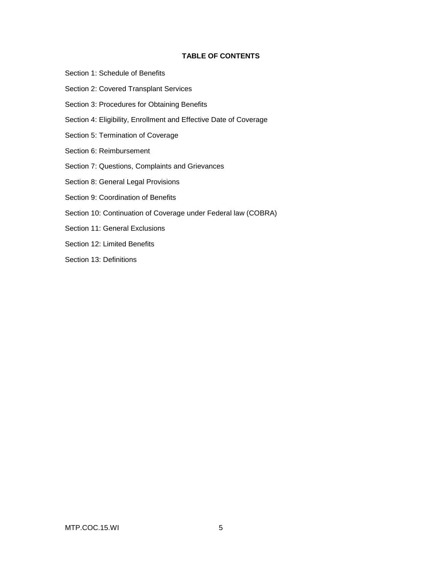### **TABLE OF CONTENTS**

- Section 1: Schedule of Benefits
- Section 2: Covered Transplant Services
- Section 3: Procedures for Obtaining Benefits
- Section 4: Eligibility, Enrollment and Effective Date of Coverage
- Section 5: Termination of Coverage
- Section 6: Reimbursement
- Section 7: Questions, Complaints and Grievances
- Section 8: General Legal Provisions
- Section 9: Coordination of Benefits
- Section 10: Continuation of Coverage under Federal law (COBRA)
- Section 11: General Exclusions
- Section 12: Limited Benefits
- Section 13: Definitions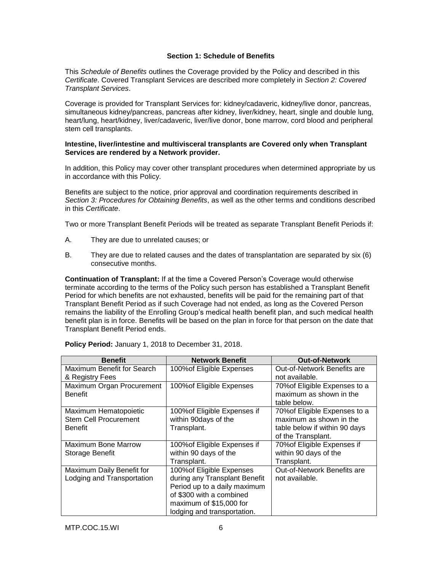# **Section 1: Schedule of Benefits**

This *Schedule of Benefits* outlines the Coverage provided by the Policy and described in this *Certificate*. Covered Transplant Services are described more completely in *Section 2: Covered Transplant Services*.

Coverage is provided for Transplant Services for: kidney/cadaveric, kidney/live donor, pancreas, simultaneous kidney/pancreas, pancreas after kidney, liver/kidney, heart, single and double lung, heart/lung, heart/kidney, liver/cadaveric, liver/live donor, bone marrow, cord blood and peripheral stem cell transplants.

#### **Intestine, liver/intestine and multivisceral transplants are Covered only when Transplant Services are rendered by a Network provider.**

In addition, this Policy may cover other transplant procedures when determined appropriate by us in accordance with this Policy.

Benefits are subject to the notice, prior approval and coordination requirements described in *Section 3: Procedures for Obtaining Benefits*, as well as the other terms and conditions described in this *Certificate*.

Two or more Transplant Benefit Periods will be treated as separate Transplant Benefit Periods if:

- A. They are due to unrelated causes; or
- B. They are due to related causes and the dates of transplantation are separated by six (6) consecutive months.

**Continuation of Transplant:** If at the time a Covered Person's Coverage would otherwise terminate according to the terms of the Policy such person has established a Transplant Benefit Period for which benefits are not exhausted, benefits will be paid for the remaining part of that Transplant Benefit Period as if such Coverage had not ended, as long as the Covered Person remains the liability of the Enrolling Group's medical health benefit plan, and such medical health benefit plan is in force. Benefits will be based on the plan in force for that person on the date that Transplant Benefit Period ends.

| <b>Benefit</b>               | <b>Network Benefit</b>        | <b>Out-of-Network</b>         |
|------------------------------|-------------------------------|-------------------------------|
| Maximum Benefit for Search   | 100% of Eligible Expenses     | Out-of-Network Benefits are   |
| & Registry Fees              |                               | not available.                |
| Maximum Organ Procurement    | 100% of Eligible Expenses     | 70% of Eligible Expenses to a |
| <b>Benefit</b>               |                               | maximum as shown in the       |
|                              |                               | table below.                  |
| Maximum Hematopoietic        | 100% of Eligible Expenses if  | 70% of Eligible Expenses to a |
| <b>Stem Cell Procurement</b> | within 90days of the          | maximum as shown in the       |
| Benefit                      | Transplant.                   | table below if within 90 days |
|                              |                               | of the Transplant.            |
| Maximum Bone Marrow          | 100% of Eligible Expenses if  | 70% of Eligible Expenses if   |
| Storage Benefit              | within 90 days of the         | within 90 days of the         |
|                              | Transplant.                   | Transplant.                   |
| Maximum Daily Benefit for    | 100% of Eligible Expenses     | Out-of-Network Benefits are   |
| Lodging and Transportation   | during any Transplant Benefit | not available.                |
|                              | Period up to a daily maximum  |                               |
|                              | of \$300 with a combined      |                               |
|                              | maximum of \$15,000 for       |                               |
|                              | lodging and transportation.   |                               |

**Policy Period:** January 1, 2018 to December 31, 2018.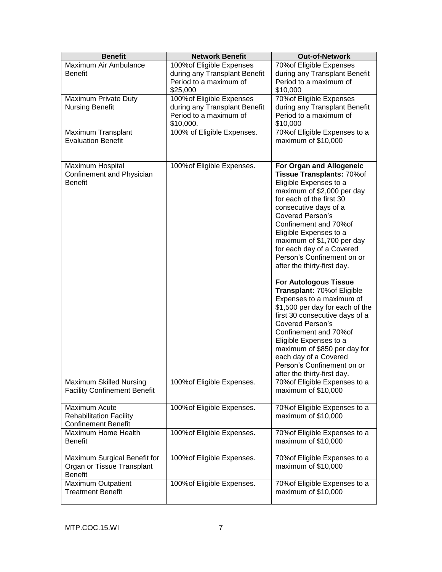| <b>Benefit</b>                                                                | <b>Network Benefit</b>                                                                            | <b>Out-of-Network</b>                                                                                                                                                                                                                                                                                                                                                                                                                                                                                                                                                                                                                                                                                                                          |
|-------------------------------------------------------------------------------|---------------------------------------------------------------------------------------------------|------------------------------------------------------------------------------------------------------------------------------------------------------------------------------------------------------------------------------------------------------------------------------------------------------------------------------------------------------------------------------------------------------------------------------------------------------------------------------------------------------------------------------------------------------------------------------------------------------------------------------------------------------------------------------------------------------------------------------------------------|
| Maximum Air Ambulance<br><b>Benefit</b>                                       | 100% of Eligible Expenses<br>during any Transplant Benefit<br>Period to a maximum of<br>\$25,000  | 70% of Eligible Expenses<br>during any Transplant Benefit<br>Period to a maximum of<br>\$10,000                                                                                                                                                                                                                                                                                                                                                                                                                                                                                                                                                                                                                                                |
| Maximum Private Duty<br><b>Nursing Benefit</b>                                | 100% of Eligible Expenses<br>during any Transplant Benefit<br>Period to a maximum of<br>\$10,000. | 70% of Eligible Expenses<br>during any Transplant Benefit<br>Period to a maximum of<br>\$10,000                                                                                                                                                                                                                                                                                                                                                                                                                                                                                                                                                                                                                                                |
| Maximum Transplant<br><b>Evaluation Benefit</b>                               | 100% of Eligible Expenses.                                                                        | 70% of Eligible Expenses to a<br>maximum of \$10,000                                                                                                                                                                                                                                                                                                                                                                                                                                                                                                                                                                                                                                                                                           |
| Maximum Hospital<br>Confinement and Physician<br><b>Benefit</b>               | 100% of Eligible Expenses.                                                                        | For Organ and Allogeneic<br>Tissue Transplants: 70%of<br>Eligible Expenses to a<br>maximum of \$2,000 per day<br>for each of the first 30<br>consecutive days of a<br><b>Covered Person's</b><br>Confinement and 70% of<br>Eligible Expenses to a<br>maximum of \$1,700 per day<br>for each day of a Covered<br>Person's Confinement on or<br>after the thirty-first day.<br><b>For Autologous Tissue</b><br>Transplant: 70% of Eligible<br>Expenses to a maximum of<br>\$1,500 per day for each of the<br>first 30 consecutive days of a<br><b>Covered Person's</b><br>Confinement and 70% of<br>Eligible Expenses to a<br>maximum of \$850 per day for<br>each day of a Covered<br>Person's Confinement on or<br>after the thirty-first day. |
| Maximum Skilled Nursing<br><b>Facility Confinement Benefit</b>                | 100% of Eligible Expenses.                                                                        | 70% of Eligible Expenses to a<br>maximum of \$10,000                                                                                                                                                                                                                                                                                                                                                                                                                                                                                                                                                                                                                                                                                           |
| Maximum Acute<br><b>Rehabilitation Facility</b><br><b>Confinement Benefit</b> | 100% of Eligible Expenses.                                                                        | 70% of Eligible Expenses to a<br>maximum of \$10,000                                                                                                                                                                                                                                                                                                                                                                                                                                                                                                                                                                                                                                                                                           |
| Maximum Home Health<br><b>Benefit</b>                                         | 100% of Eligible Expenses.                                                                        | 70% of Eligible Expenses to a<br>maximum of \$10,000                                                                                                                                                                                                                                                                                                                                                                                                                                                                                                                                                                                                                                                                                           |
| Maximum Surgical Benefit for<br>Organ or Tissue Transplant<br><b>Benefit</b>  | 100% of Eligible Expenses.                                                                        | 70% of Eligible Expenses to a<br>maximum of \$10,000                                                                                                                                                                                                                                                                                                                                                                                                                                                                                                                                                                                                                                                                                           |
| <b>Maximum Outpatient</b><br><b>Treatment Benefit</b>                         | 100% of Eligible Expenses.                                                                        | 70% of Eligible Expenses to a<br>maximum of \$10,000                                                                                                                                                                                                                                                                                                                                                                                                                                                                                                                                                                                                                                                                                           |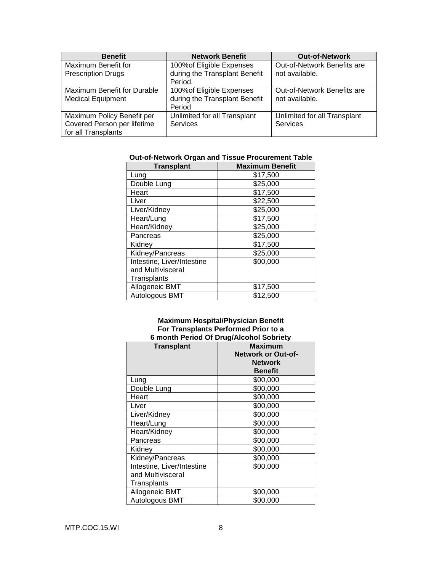| <b>Benefit</b>              | <b>Network Benefit</b>        | <b>Out-of-Network</b>        |
|-----------------------------|-------------------------------|------------------------------|
| Maximum Benefit for         | 100% of Eligible Expenses     | Out-of-Network Benefits are  |
| <b>Prescription Drugs</b>   | during the Transplant Benefit | not available.               |
|                             | Period.                       |                              |
| Maximum Benefit for Durable | 100% of Eligible Expenses     | Out-of-Network Benefits are  |
| <b>Medical Equipment</b>    | during the Transplant Benefit | not available.               |
|                             | Period                        |                              |
| Maximum Policy Benefit per  | Unlimited for all Transplant  | Unlimited for all Transplant |
| Covered Person per lifetime | <b>Services</b>               | Services                     |
| for all Transplants         |                               |                              |

# **Out-of-Network Organ and Tissue Procurement Table**

| <b>Transplant</b>          | <b>Maximum Benefit</b> |
|----------------------------|------------------------|
| Lung                       | \$17,500               |
| Double Lung                | \$25,000               |
| Heart                      | \$17,500               |
| Liver                      | \$22,500               |
| Liver/Kidney               | \$25,000               |
| Heart/Lung                 | \$17,500               |
| Heart/Kidney               | \$25,000               |
| Pancreas                   | \$25,000               |
| Kidney                     | \$17,500               |
| Kidney/Pancreas            | \$25,000               |
| Intestine, Liver/Intestine | \$00,000               |
| and Multivisceral          |                        |
| Transplants                |                        |
| Allogeneic BMT             | \$17,500               |
| Autologous BMT             | \$12,500               |

#### **Maximum Hospital/Physician Benefit For Transplants Performed Prior to a 6 month Period Of Drug/Alcohol Sobriety**

| <b>Transplant</b>          | <b>Maximum</b><br><b>Network or Out-of-</b><br><b>Network</b><br><b>Benefit</b> |
|----------------------------|---------------------------------------------------------------------------------|
| Lung                       | \$00,000                                                                        |
| Double Lung                | \$00,000                                                                        |
| Heart                      | \$00,000                                                                        |
| Liver                      | \$00,000                                                                        |
| Liver/Kidney               | \$00,000                                                                        |
| Heart/Lung                 | \$00,000                                                                        |
| Heart/Kidney               | \$00,000                                                                        |
| Pancreas                   | \$00,000                                                                        |
| Kidney                     | \$00,000                                                                        |
| Kidney/Pancreas            | \$00,000                                                                        |
| Intestine, Liver/Intestine | \$00,000                                                                        |
| and Multivisceral          |                                                                                 |
| Transplants                |                                                                                 |
| Allogeneic BMT             | \$00,000                                                                        |
| Autologous BMT             | \$00,000                                                                        |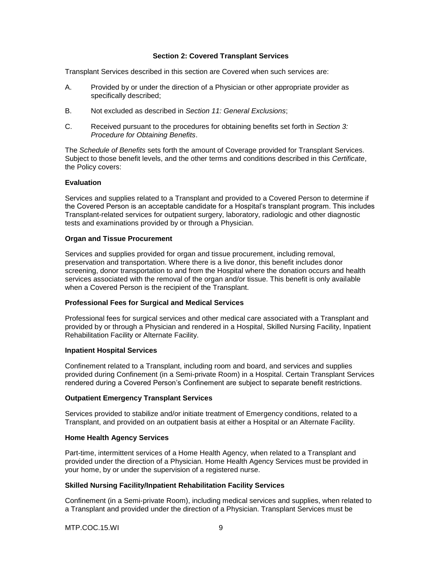### **Section 2: Covered Transplant Services**

Transplant Services described in this section are Covered when such services are:

- A. Provided by or under the direction of a Physician or other appropriate provider as specifically described;
- B. Not excluded as described in *Section 11: General Exclusions*;
- C. Received pursuant to the procedures for obtaining benefits set forth in *Section 3: Procedure for Obtaining Benefits*.

The *Schedule of Benefits* sets forth the amount of Coverage provided for Transplant Services. Subject to those benefit levels, and the other terms and conditions described in this *Certificate*, the Policy covers:

### **Evaluation**

Services and supplies related to a Transplant and provided to a Covered Person to determine if the Covered Person is an acceptable candidate for a Hospital's transplant program. This includes Transplant-related services for outpatient surgery, laboratory, radiologic and other diagnostic tests and examinations provided by or through a Physician.

#### **Organ and Tissue Procurement**

Services and supplies provided for organ and tissue procurement, including removal, preservation and transportation. Where there is a live donor, this benefit includes donor screening, donor transportation to and from the Hospital where the donation occurs and health services associated with the removal of the organ and/or tissue. This benefit is only available when a Covered Person is the recipient of the Transplant.

### **Professional Fees for Surgical and Medical Services**

Professional fees for surgical services and other medical care associated with a Transplant and provided by or through a Physician and rendered in a Hospital, Skilled Nursing Facility, Inpatient Rehabilitation Facility or Alternate Facility.

#### **Inpatient Hospital Services**

Confinement related to a Transplant, including room and board, and services and supplies provided during Confinement (in a Semi-private Room) in a Hospital. Certain Transplant Services rendered during a Covered Person's Confinement are subject to separate benefit restrictions.

### **Outpatient Emergency Transplant Services**

Services provided to stabilize and/or initiate treatment of Emergency conditions, related to a Transplant, and provided on an outpatient basis at either a Hospital or an Alternate Facility.

### **Home Health Agency Services**

Part-time, intermittent services of a Home Health Agency, when related to a Transplant and provided under the direction of a Physician. Home Health Agency Services must be provided in your home, by or under the supervision of a registered nurse.

### **Skilled Nursing Facility/Inpatient Rehabilitation Facility Services**

Confinement (in a Semi-private Room), including medical services and supplies, when related to a Transplant and provided under the direction of a Physician. Transplant Services must be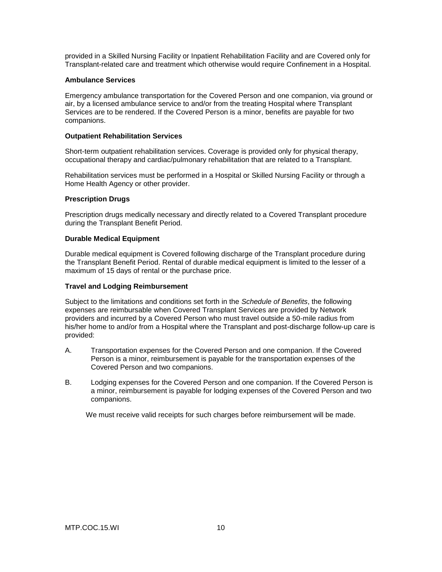provided in a Skilled Nursing Facility or Inpatient Rehabilitation Facility and are Covered only for Transplant-related care and treatment which otherwise would require Confinement in a Hospital.

### **Ambulance Services**

Emergency ambulance transportation for the Covered Person and one companion, via ground or air, by a licensed ambulance service to and/or from the treating Hospital where Transplant Services are to be rendered. If the Covered Person is a minor, benefits are payable for two companions.

# **Outpatient Rehabilitation Services**

Short-term outpatient rehabilitation services. Coverage is provided only for physical therapy, occupational therapy and cardiac/pulmonary rehabilitation that are related to a Transplant.

Rehabilitation services must be performed in a Hospital or Skilled Nursing Facility or through a Home Health Agency or other provider.

# **Prescription Drugs**

Prescription drugs medically necessary and directly related to a Covered Transplant procedure during the Transplant Benefit Period.

# **Durable Medical Equipment**

Durable medical equipment is Covered following discharge of the Transplant procedure during the Transplant Benefit Period. Rental of durable medical equipment is limited to the lesser of a maximum of 15 days of rental or the purchase price.

### **Travel and Lodging Reimbursement**

Subject to the limitations and conditions set forth in the *Schedule of Benefits*, the following expenses are reimbursable when Covered Transplant Services are provided by Network providers and incurred by a Covered Person who must travel outside a 50-mile radius from his/her home to and/or from a Hospital where the Transplant and post-discharge follow-up care is provided:

- A. Transportation expenses for the Covered Person and one companion. If the Covered Person is a minor, reimbursement is payable for the transportation expenses of the Covered Person and two companions.
- B. Lodging expenses for the Covered Person and one companion. If the Covered Person is a minor, reimbursement is payable for lodging expenses of the Covered Person and two companions.

We must receive valid receipts for such charges before reimbursement will be made.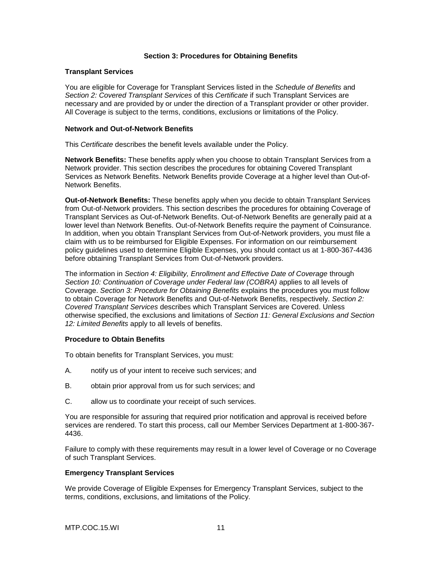### **Section 3: Procedures for Obtaining Benefits**

### **Transplant Services**

You are eligible for Coverage for Transplant Services listed in the *Schedule of Benefits* and *Section 2: Covered Transplant Services* of this *Certificate* if such Transplant Services are necessary and are provided by or under the direction of a Transplant provider or other provider. All Coverage is subject to the terms, conditions, exclusions or limitations of the Policy.

### **Network and Out-of-Network Benefits**

This *Certificate* describes the benefit levels available under the Policy.

**Network Benefits:** These benefits apply when you choose to obtain Transplant Services from a Network provider. This section describes the procedures for obtaining Covered Transplant Services as Network Benefits. Network Benefits provide Coverage at a higher level than Out-of-Network Benefits.

**Out-of-Network Benefits:** These benefits apply when you decide to obtain Transplant Services from Out-of-Network providers. This section describes the procedures for obtaining Coverage of Transplant Services as Out-of-Network Benefits. Out-of-Network Benefits are generally paid at a lower level than Network Benefits. Out-of-Network Benefits require the payment of Coinsurance. In addition, when you obtain Transplant Services from Out-of-Network providers, you must file a claim with us to be reimbursed for Eligible Expenses. For information on our reimbursement policy guidelines used to determine Eligible Expenses, you should contact us at 1-800-367-4436 before obtaining Transplant Services from Out-of-Network providers.

The information in *Section 4: Eligibility, Enrollment and Effective Date of Coverage* through *Section 10: Continuation of Coverage under Federal law (COBRA)* applies to all levels of Coverage. *Section 3: Procedure for Obtaining Benefits* explains the procedures you must follow to obtain Coverage for Network Benefits and Out-of-Network Benefits, respectively. *Section 2: Covered Transplant Services* describes which Transplant Services are Covered. Unless otherwise specified, the exclusions and limitations of *Section 11: General Exclusions and Section 12: Limited Benefits* apply to all levels of benefits.

### **Procedure to Obtain Benefits**

To obtain benefits for Transplant Services, you must:

- A. notify us of your intent to receive such services; and
- B. obtain prior approval from us for such services; and
- C. allow us to coordinate your receipt of such services.

You are responsible for assuring that required prior notification and approval is received before services are rendered. To start this process, call our Member Services Department at 1-800-367- 4436.

Failure to comply with these requirements may result in a lower level of Coverage or no Coverage of such Transplant Services.

### **Emergency Transplant Services**

We provide Coverage of Eligible Expenses for Emergency Transplant Services, subject to the terms, conditions, exclusions, and limitations of the Policy.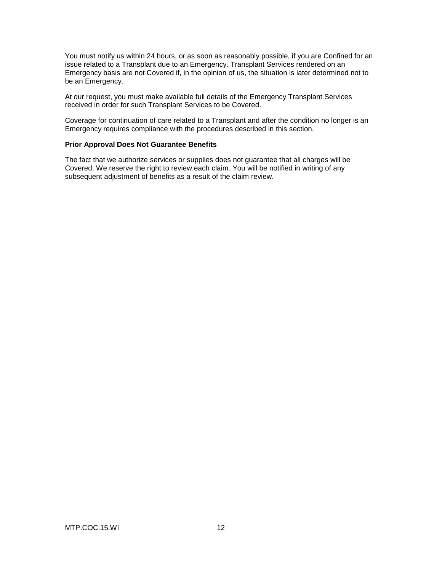You must notify us within 24 hours, or as soon as reasonably possible, if you are Confined for an issue related to a Transplant due to an Emergency. Transplant Services rendered on an Emergency basis are not Covered if, in the opinion of us, the situation is later determined not to be an Emergency.

At our request, you must make available full details of the Emergency Transplant Services received in order for such Transplant Services to be Covered.

Coverage for continuation of care related to a Transplant and after the condition no longer is an Emergency requires compliance with the procedures described in this section.

### **Prior Approval Does Not Guarantee Benefits**

The fact that we authorize services or supplies does not guarantee that all charges will be Covered. We reserve the right to review each claim. You will be notified in writing of any subsequent adjustment of benefits as a result of the claim review.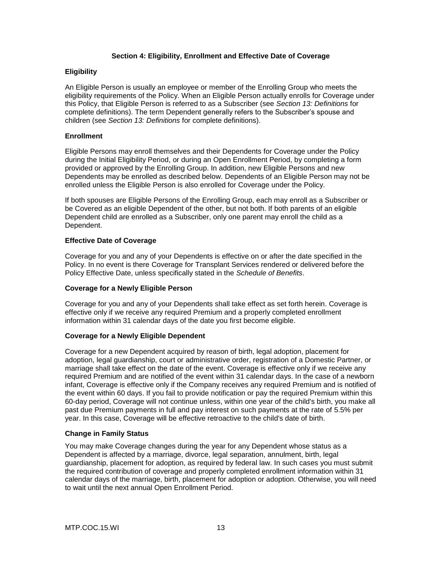# **Section 4: Eligibility, Enrollment and Effective Date of Coverage**

### **Eligibility**

An Eligible Person is usually an employee or member of the Enrolling Group who meets the eligibility requirements of the Policy. When an Eligible Person actually enrolls for Coverage under this Policy, that Eligible Person is referred to as a Subscriber (see *Section 13: Definitions* for complete definitions). The term Dependent generally refers to the Subscriber's spouse and children (see *Section 13: Definitions* for complete definitions).

### **Enrollment**

Eligible Persons may enroll themselves and their Dependents for Coverage under the Policy during the Initial Eligibility Period, or during an Open Enrollment Period, by completing a form provided or approved by the Enrolling Group. In addition, new Eligible Persons and new Dependents may be enrolled as described below. Dependents of an Eligible Person may not be enrolled unless the Eligible Person is also enrolled for Coverage under the Policy.

If both spouses are Eligible Persons of the Enrolling Group, each may enroll as a Subscriber or be Covered as an eligible Dependent of the other, but not both. If both parents of an eligible Dependent child are enrolled as a Subscriber, only one parent may enroll the child as a Dependent.

#### **Effective Date of Coverage**

Coverage for you and any of your Dependents is effective on or after the date specified in the Policy. In no event is there Coverage for Transplant Services rendered or delivered before the Policy Effective Date, unless specifically stated in the *Schedule of Benefits*.

### **Coverage for a Newly Eligible Person**

Coverage for you and any of your Dependents shall take effect as set forth herein. Coverage is effective only if we receive any required Premium and a properly completed enrollment information within 31 calendar days of the date you first become eligible.

### **Coverage for a Newly Eligible Dependent**

Coverage for a new Dependent acquired by reason of birth, legal adoption, placement for adoption, legal guardianship, court or administrative order, registration of a Domestic Partner, or marriage shall take effect on the date of the event. Coverage is effective only if we receive any required Premium and are notified of the event within 31 calendar days. In the case of a newborn infant, Coverage is effective only if the Company receives any required Premium and is notified of the event within 60 days. If you fail to provide notification or pay the required Premium within this 60-day period, Coverage will not continue unless, within one year of the child's birth, you make all past due Premium payments in full and pay interest on such payments at the rate of 5.5% per year. In this case, Coverage will be effective retroactive to the child's date of birth.

### **Change in Family Status**

You may make Coverage changes during the year for any Dependent whose status as a Dependent is affected by a marriage, divorce, legal separation, annulment, birth, legal guardianship, placement for adoption, as required by federal law. In such cases you must submit the required contribution of coverage and properly completed enrollment information within 31 calendar days of the marriage, birth, placement for adoption or adoption. Otherwise, you will need to wait until the next annual Open Enrollment Period.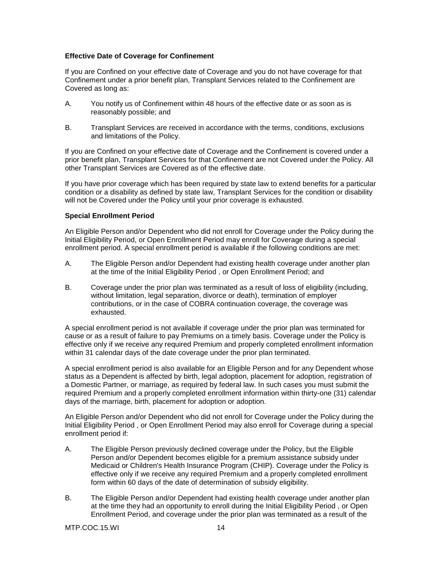# **Effective Date of Coverage for Confinement**

If you are Confined on your effective date of Coverage and you do not have coverage for that Confinement under a prior benefit plan, Transplant Services related to the Confinement are Covered as long as:

- A. You notify us of Confinement within 48 hours of the effective date or as soon as is reasonably possible; and
- B. Transplant Services are received in accordance with the terms, conditions, exclusions and limitations of the Policy.

If you are Confined on your effective date of Coverage and the Confinement is covered under a prior benefit plan, Transplant Services for that Confinement are not Covered under the Policy. All other Transplant Services are Covered as of the effective date.

If you have prior coverage which has been required by state law to extend benefits for a particular condition or a disability as defined by state law, Transplant Services for the condition or disability will not be Covered under the Policy until your prior coverage is exhausted.

### **Special Enrollment Period**

An Eligible Person and/or Dependent who did not enroll for Coverage under the Policy during the Initial Eligibility Period, or Open Enrollment Period may enroll for Coverage during a special enrollment period. A special enrollment period is available if the following conditions are met:

- A. The Eligible Person and/or Dependent had existing health coverage under another plan at the time of the Initial Eligibility Period , or Open Enrollment Period; and
- B. Coverage under the prior plan was terminated as a result of loss of eligibility (including, without limitation, legal separation, divorce or death), termination of employer contributions, or in the case of COBRA continuation coverage, the coverage was exhausted.

A special enrollment period is not available if coverage under the prior plan was terminated for cause or as a result of failure to pay Premiums on a timely basis. Coverage under the Policy is effective only if we receive any required Premium and properly completed enrollment information within 31 calendar days of the date coverage under the prior plan terminated.

A special enrollment period is also available for an Eligible Person and for any Dependent whose status as a Dependent is affected by birth, legal adoption, placement for adoption, registration of a Domestic Partner, or marriage, as required by federal law. In such cases you must submit the required Premium and a properly completed enrollment information within thirty-one (31) calendar days of the marriage, birth, placement for adoption or adoption.

An Eligible Person and/or Dependent who did not enroll for Coverage under the Policy during the Initial Eligibility Period , or Open Enrollment Period may also enroll for Coverage during a special enrollment period if:

- A. The Eligible Person previously declined coverage under the Policy, but the Eligible Person and/or Dependent becomes eligible for a premium assistance subsidy under Medicaid or Children's Health Insurance Program (CHIP). Coverage under the Policy is effective only if we receive any required Premium and a properly completed enrollment form within 60 days of the date of determination of subsidy eligibility.
- B. The Eligible Person and/or Dependent had existing health coverage under another plan at the time they had an opportunity to enroll during the Initial Eligibility Period , or Open Enrollment Period, and coverage under the prior plan was terminated as a result of the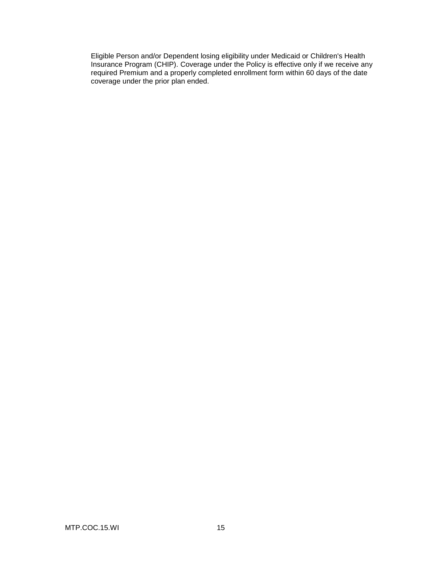Eligible Person and/or Dependent losing eligibility under Medicaid or Children's Health Insurance Program (CHIP). Coverage under the Policy is effective only if we receive any required Premium and a properly completed enrollment form within 60 days of the date coverage under the prior plan ended.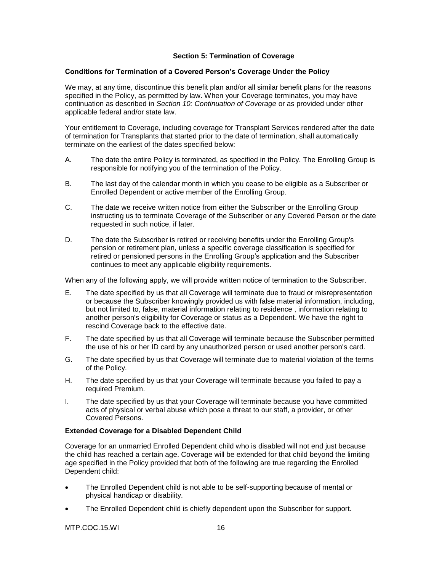# **Section 5: Termination of Coverage**

### **Conditions for Termination of a Covered Person's Coverage Under the Policy**

We may, at any time, discontinue this benefit plan and/or all similar benefit plans for the reasons specified in the Policy, as permitted by law. When your Coverage terminates, you may have continuation as described in *Section 10: Continuation of Coverage* or as provided under other applicable federal and/or state law.

Your entitlement to Coverage, including coverage for Transplant Services rendered after the date of termination for Transplants that started prior to the date of termination, shall automatically terminate on the earliest of the dates specified below:

- A. The date the entire Policy is terminated, as specified in the Policy. The Enrolling Group is responsible for notifying you of the termination of the Policy.
- B. The last day of the calendar month in which you cease to be eligible as a Subscriber or Enrolled Dependent or active member of the Enrolling Group.
- C. The date we receive written notice from either the Subscriber or the Enrolling Group instructing us to terminate Coverage of the Subscriber or any Covered Person or the date requested in such notice, if later.
- D. The date the Subscriber is retired or receiving benefits under the Enrolling Group's pension or retirement plan, unless a specific coverage classification is specified for retired or pensioned persons in the Enrolling Group's application and the Subscriber continues to meet any applicable eligibility requirements.

When any of the following apply, we will provide written notice of termination to the Subscriber.

- E. The date specified by us that all Coverage will terminate due to fraud or misrepresentation or because the Subscriber knowingly provided us with false material information, including, but not limited to, false, material information relating to residence , information relating to another person's eligibility for Coverage or status as a Dependent. We have the right to rescind Coverage back to the effective date.
- F. The date specified by us that all Coverage will terminate because the Subscriber permitted the use of his or her ID card by any unauthorized person or used another person's card.
- G. The date specified by us that Coverage will terminate due to material violation of the terms of the Policy.
- H. The date specified by us that your Coverage will terminate because you failed to pay a required Premium.
- I. The date specified by us that your Coverage will terminate because you have committed acts of physical or verbal abuse which pose a threat to our staff, a provider, or other Covered Persons.

### **Extended Coverage for a Disabled Dependent Child**

Coverage for an unmarried Enrolled Dependent child who is disabled will not end just because the child has reached a certain age. Coverage will be extended for that child beyond the limiting age specified in the Policy provided that both of the following are true regarding the Enrolled Dependent child:

- The Enrolled Dependent child is not able to be self-supporting because of mental or physical handicap or disability.
- The Enrolled Dependent child is chiefly dependent upon the Subscriber for support.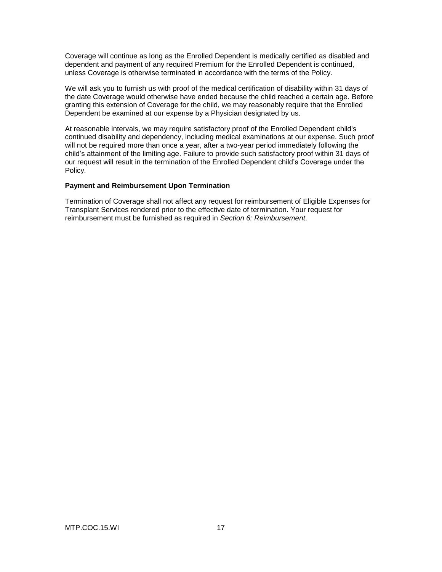Coverage will continue as long as the Enrolled Dependent is medically certified as disabled and dependent and payment of any required Premium for the Enrolled Dependent is continued, unless Coverage is otherwise terminated in accordance with the terms of the Policy.

We will ask you to furnish us with proof of the medical certification of disability within 31 days of the date Coverage would otherwise have ended because the child reached a certain age. Before granting this extension of Coverage for the child, we may reasonably require that the Enrolled Dependent be examined at our expense by a Physician designated by us.

At reasonable intervals, we may require satisfactory proof of the Enrolled Dependent child's continued disability and dependency, including medical examinations at our expense. Such proof will not be required more than once a year, after a two-year period immediately following the child's attainment of the limiting age. Failure to provide such satisfactory proof within 31 days of our request will result in the termination of the Enrolled Dependent child's Coverage under the Policy.

### **Payment and Reimbursement Upon Termination**

Termination of Coverage shall not affect any request for reimbursement of Eligible Expenses for Transplant Services rendered prior to the effective date of termination. Your request for reimbursement must be furnished as required in *Section 6: Reimbursement*.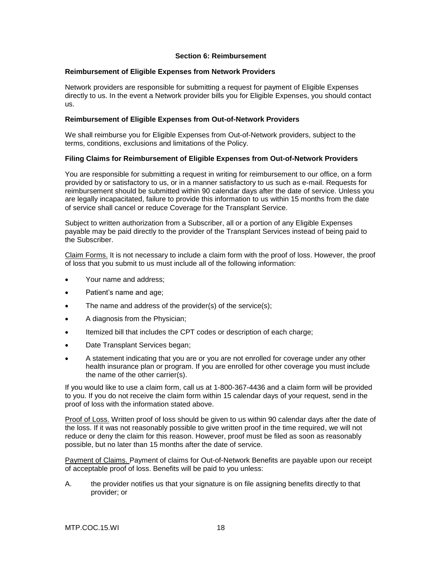### **Section 6: Reimbursement**

#### **Reimbursement of Eligible Expenses from Network Providers**

Network providers are responsible for submitting a request for payment of Eligible Expenses directly to us. In the event a Network provider bills you for Eligible Expenses, you should contact us.

### **Reimbursement of Eligible Expenses from Out-of-Network Providers**

We shall reimburse you for Eligible Expenses from Out-of-Network providers, subject to the terms, conditions, exclusions and limitations of the Policy.

# **Filing Claims for Reimbursement of Eligible Expenses from Out-of-Network Providers**

You are responsible for submitting a request in writing for reimbursement to our office, on a form provided by or satisfactory to us, or in a manner satisfactory to us such as e-mail. Requests for reimbursement should be submitted within 90 calendar days after the date of service. Unless you are legally incapacitated, failure to provide this information to us within 15 months from the date of service shall cancel or reduce Coverage for the Transplant Service.

Subject to written authorization from a Subscriber, all or a portion of any Eligible Expenses payable may be paid directly to the provider of the Transplant Services instead of being paid to the Subscriber.

Claim Forms. It is not necessary to include a claim form with the proof of loss. However, the proof of loss that you submit to us must include all of the following information:

- Your name and address;
- Patient's name and age;
- The name and address of the provider(s) of the service(s);
- A diagnosis from the Physician:
- Itemized bill that includes the CPT codes or description of each charge;
- Date Transplant Services began;
- A statement indicating that you are or you are not enrolled for coverage under any other health insurance plan or program. If you are enrolled for other coverage you must include the name of the other carrier(s).

If you would like to use a claim form, call us at 1-800-367-4436 and a claim form will be provided to you. If you do not receive the claim form within 15 calendar days of your request, send in the proof of loss with the information stated above.

Proof of Loss. Written proof of loss should be given to us within 90 calendar days after the date of the loss. If it was not reasonably possible to give written proof in the time required, we will not reduce or deny the claim for this reason. However, proof must be filed as soon as reasonably possible, but no later than 15 months after the date of service.

Payment of Claims. Payment of claims for Out-of-Network Benefits are payable upon our receipt of acceptable proof of loss. Benefits will be paid to you unless:

A. the provider notifies us that your signature is on file assigning benefits directly to that provider; or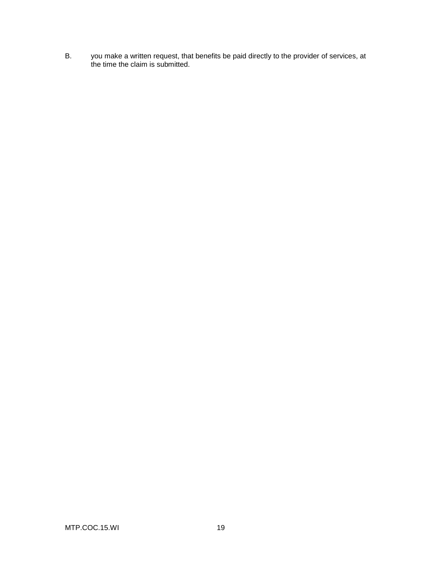B. you make a written request, that benefits be paid directly to the provider of services, at the time the claim is submitted.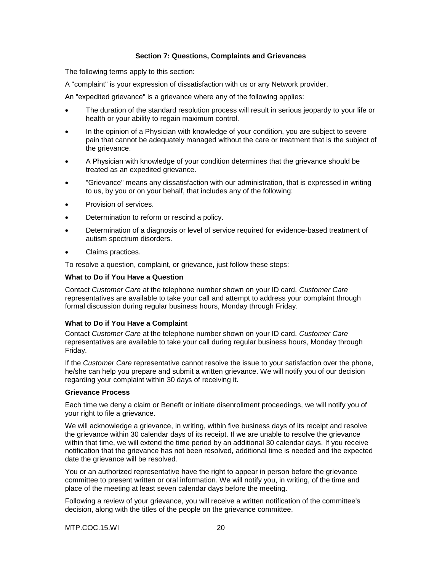# **Section 7: Questions, Complaints and Grievances**

The following terms apply to this section:

A "complaint" is your expression of dissatisfaction with us or any Network provider.

An "expedited grievance" is a grievance where any of the following applies:

- The duration of the standard resolution process will result in serious jeopardy to your life or health or your ability to regain maximum control.
- In the opinion of a Physician with knowledge of your condition, you are subject to severe pain that cannot be adequately managed without the care or treatment that is the subject of the grievance.
- A Physician with knowledge of your condition determines that the grievance should be treated as an expedited grievance.
- "Grievance" means any dissatisfaction with our administration, that is expressed in writing to us, by you or on your behalf, that includes any of the following:
- Provision of services.
- Determination to reform or rescind a policy.
- Determination of a diagnosis or level of service required for evidence-based treatment of autism spectrum disorders.
- Claims practices.

To resolve a question, complaint, or grievance, just follow these steps:

#### **What to Do if You Have a Question**

Contact *Customer Care* at the telephone number shown on your ID card. *Customer Care* representatives are available to take your call and attempt to address your complaint through formal discussion during regular business hours, Monday through Friday.

#### **What to Do if You Have a Complaint**

Contact *Customer Care* at the telephone number shown on your ID card. *Customer Care* representatives are available to take your call during regular business hours, Monday through Friday.

If the *Customer Care* representative cannot resolve the issue to your satisfaction over the phone, he/she can help you prepare and submit a written grievance. We will notify you of our decision regarding your complaint within 30 days of receiving it.

#### **Grievance Process**

Each time we deny a claim or Benefit or initiate disenrollment proceedings, we will notify you of your right to file a grievance.

We will acknowledge a grievance, in writing, within five business days of its receipt and resolve the grievance within 30 calendar days of its receipt. If we are unable to resolve the grievance within that time, we will extend the time period by an additional 30 calendar days. If you receive notification that the grievance has not been resolved, additional time is needed and the expected date the grievance will be resolved.

You or an authorized representative have the right to appear in person before the grievance committee to present written or oral information. We will notify you, in writing, of the time and place of the meeting at least seven calendar days before the meeting.

Following a review of your grievance, you will receive a written notification of the committee's decision, along with the titles of the people on the grievance committee.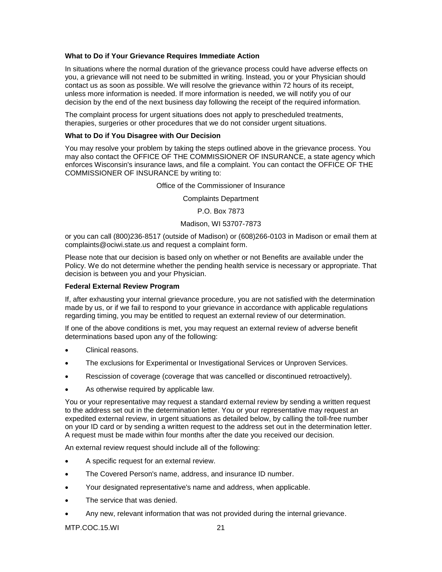### **What to Do if Your Grievance Requires Immediate Action**

In situations where the normal duration of the grievance process could have adverse effects on you, a grievance will not need to be submitted in writing. Instead, you or your Physician should contact us as soon as possible. We will resolve the grievance within 72 hours of its receipt, unless more information is needed. If more information is needed, we will notify you of our decision by the end of the next business day following the receipt of the required information.

The complaint process for urgent situations does not apply to prescheduled treatments, therapies, surgeries or other procedures that we do not consider urgent situations.

### **What to Do if You Disagree with Our Decision**

You may resolve your problem by taking the steps outlined above in the grievance process. You may also contact the OFFICE OF THE COMMISSIONER OF INSURANCE, a state agency which enforces Wisconsin's insurance laws, and file a complaint. You can contact the OFFICE OF THE COMMISSIONER OF INSURANCE by writing to:

Office of the Commissioner of Insurance

Complaints Department

P.O. Box 7873

#### Madison, WI 53707-7873

or you can call (800)236-8517 (outside of Madison) or (608)266-0103 in Madison or email them at complaints@ociwi.state.us and request a complaint form.

Please note that our decision is based only on whether or not Benefits are available under the Policy. We do not determine whether the pending health service is necessary or appropriate. That decision is between you and your Physician.

### **Federal External Review Program**

If, after exhausting your internal grievance procedure, you are not satisfied with the determination made by us, or if we fail to respond to your grievance in accordance with applicable regulations regarding timing, you may be entitled to request an external review of our determination.

If one of the above conditions is met, you may request an external review of adverse benefit determinations based upon any of the following:

- Clinical reasons.
- The exclusions for Experimental or Investigational Services or Unproven Services.
- Rescission of coverage (coverage that was cancelled or discontinued retroactively).
- As otherwise required by applicable law.

You or your representative may request a standard external review by sending a written request to the address set out in the determination letter. You or your representative may request an expedited external review, in urgent situations as detailed below, by calling the toll-free number on your ID card or by sending a written request to the address set out in the determination letter. A request must be made within four months after the date you received our decision.

An external review request should include all of the following:

- A specific request for an external review.
- The Covered Person's name, address, and insurance ID number.
- Your designated representative's name and address, when applicable.
- The service that was denied.
- Any new, relevant information that was not provided during the internal grievance.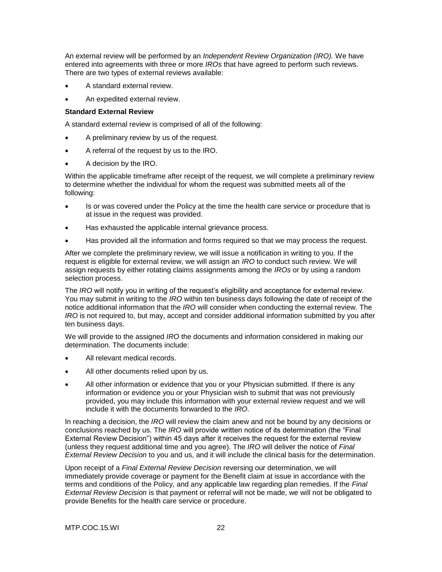An external review will be performed by an *Independent Review Organization (IRO).* We have entered into agreements with three or more *IROs* that have agreed to perform such reviews. There are two types of external reviews available:

- A standard external review.
- An expedited external review.

### **Standard External Review**

A standard external review is comprised of all of the following:

- A preliminary review by us of the request.
- A referral of the request by us to the IRO.
- A decision by the IRO.

Within the applicable timeframe after receipt of the request, we will complete a preliminary review to determine whether the individual for whom the request was submitted meets all of the following:

- Is or was covered under the Policy at the time the health care service or procedure that is at issue in the request was provided.
- Has exhausted the applicable internal grievance process.
- Has provided all the information and forms required so that we may process the request.

After we complete the preliminary review, we will issue a notification in writing to you. If the request is eligible for external review, we will assign an *IRO* to conduct such review. We will assign requests by either rotating claims assignments among the *IROs* or by using a random selection process.

The *IRO* will notify you in writing of the request's eligibility and acceptance for external review. You may submit in writing to the *IRO* within ten business days following the date of receipt of the notice additional information that the *IRO* will consider when conducting the external review. The *IRO* is not required to, but may, accept and consider additional information submitted by you after ten business days.

We will provide to the assigned *IRO* the documents and information considered in making our determination. The documents include:

- All relevant medical records.
- All other documents relied upon by us.
- All other information or evidence that you or your Physician submitted. If there is any information or evidence you or your Physician wish to submit that was not previously provided, you may include this information with your external review request and we will include it with the documents forwarded to the *IRO*.

In reaching a decision, the *IRO* will review the claim anew and not be bound by any decisions or conclusions reached by us. The *IRO* will provide written notice of its determination (the "Final External Review Decision") within 45 days after it receives the request for the external review (unless they request additional time and you agree). The *IRO* will deliver the notice of *Final External Review Decision* to you and us, and it will include the clinical basis for the determination.

Upon receipt of a *Final External Review Decision* reversing our determination, we will immediately provide coverage or payment for the Benefit claim at issue in accordance with the terms and conditions of the Policy, and any applicable law regarding plan remedies. If the *Final External Review Decision* is that payment or referral will not be made, we will not be obligated to provide Benefits for the health care service or procedure.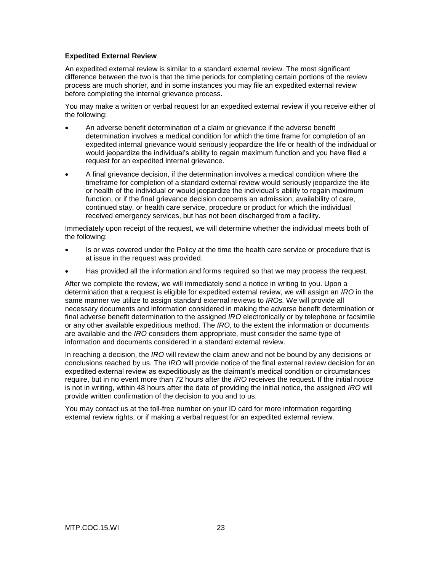# **Expedited External Review**

An expedited external review is similar to a standard external review. The most significant difference between the two is that the time periods for completing certain portions of the review process are much shorter, and in some instances you may file an expedited external review before completing the internal grievance process.

You may make a written or verbal request for an expedited external review if you receive either of the following:

- An adverse benefit determination of a claim or grievance if the adverse benefit determination involves a medical condition for which the time frame for completion of an expedited internal grievance would seriously jeopardize the life or health of the individual or would jeopardize the individual's ability to regain maximum function and you have filed a request for an expedited internal grievance.
- A final grievance decision, if the determination involves a medical condition where the timeframe for completion of a standard external review would seriously jeopardize the life or health of the individual or would jeopardize the individual's ability to regain maximum function, or if the final grievance decision concerns an admission, availability of care, continued stay, or health care service, procedure or product for which the individual received emergency services, but has not been discharged from a facility.

Immediately upon receipt of the request, we will determine whether the individual meets both of the following:

- Is or was covered under the Policy at the time the health care service or procedure that is at issue in the request was provided.
- Has provided all the information and forms required so that we may process the request.

After we complete the review, we will immediately send a notice in writing to you. Upon a determination that a request is eligible for expedited external review, we will assign an *IRO* in the same manner we utilize to assign standard external reviews to *IROs.* We will provide all necessary documents and information considered in making the adverse benefit determination or final adverse benefit determination to the assigned *IRO* electronically or by telephone or facsimile or any other available expeditious method. The *IRO,* to the extent the information or documents are available and the *IRO* considers them appropriate, must consider the same type of information and documents considered in a standard external review.

In reaching a decision, the *IRO* will review the claim anew and not be bound by any decisions or conclusions reached by us. The *IRO* will provide notice of the final external review decision for an expedited external review as expeditiously as the claimant's medical condition or circumstances require, but in no event more than 72 hours after the *IRO* receives the request. If the initial notice is not in writing, within 48 hours after the date of providing the initial notice, the assigned *IRO* will provide written confirmation of the decision to you and to us.

You may contact us at the toll-free number on your ID card for more information regarding external review rights, or if making a verbal request for an expedited external review.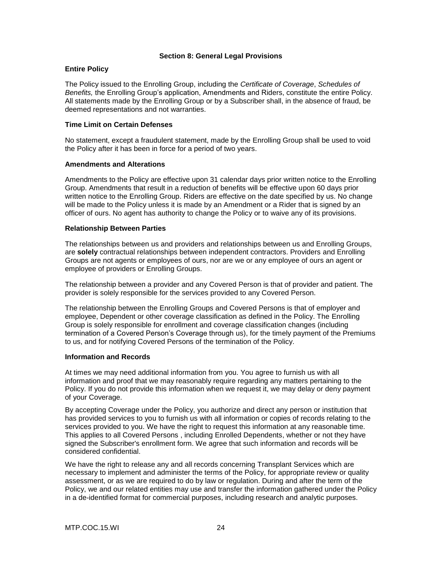# **Section 8: General Legal Provisions**

# **Entire Policy**

The Policy issued to the Enrolling Group, including the *Certificate of Coverage*, *Schedules of Benefits,* the Enrolling Group's application, Amendments and Riders, constitute the entire Policy. All statements made by the Enrolling Group or by a Subscriber shall, in the absence of fraud, be deemed representations and not warranties.

### **Time Limit on Certain Defenses**

No statement, except a fraudulent statement, made by the Enrolling Group shall be used to void the Policy after it has been in force for a period of two years.

### **Amendments and Alterations**

Amendments to the Policy are effective upon 31 calendar days prior written notice to the Enrolling Group. Amendments that result in a reduction of benefits will be effective upon 60 days prior written notice to the Enrolling Group. Riders are effective on the date specified by us. No change will be made to the Policy unless it is made by an Amendment or a Rider that is signed by an officer of ours. No agent has authority to change the Policy or to waive any of its provisions.

### **Relationship Between Parties**

The relationships between us and providers and relationships between us and Enrolling Groups, are **solely** contractual relationships between independent contractors. Providers and Enrolling Groups are not agents or employees of ours, nor are we or any employee of ours an agent or employee of providers or Enrolling Groups.

The relationship between a provider and any Covered Person is that of provider and patient. The provider is solely responsible for the services provided to any Covered Person.

The relationship between the Enrolling Groups and Covered Persons is that of employer and employee, Dependent or other coverage classification as defined in the Policy. The Enrolling Group is solely responsible for enrollment and coverage classification changes (including termination of a Covered Person's Coverage through us), for the timely payment of the Premiums to us, and for notifying Covered Persons of the termination of the Policy.

### **Information and Records**

At times we may need additional information from you. You agree to furnish us with all information and proof that we may reasonably require regarding any matters pertaining to the Policy. If you do not provide this information when we request it, we may delay or deny payment of your Coverage.

By accepting Coverage under the Policy, you authorize and direct any person or institution that has provided services to you to furnish us with all information or copies of records relating to the services provided to you. We have the right to request this information at any reasonable time. This applies to all Covered Persons , including Enrolled Dependents, whether or not they have signed the Subscriber's enrollment form. We agree that such information and records will be considered confidential.

We have the right to release any and all records concerning Transplant Services which are necessary to implement and administer the terms of the Policy, for appropriate review or quality assessment, or as we are required to do by law or regulation. During and after the term of the Policy, we and our related entities may use and transfer the information gathered under the Policy in a de-identified format for commercial purposes, including research and analytic purposes.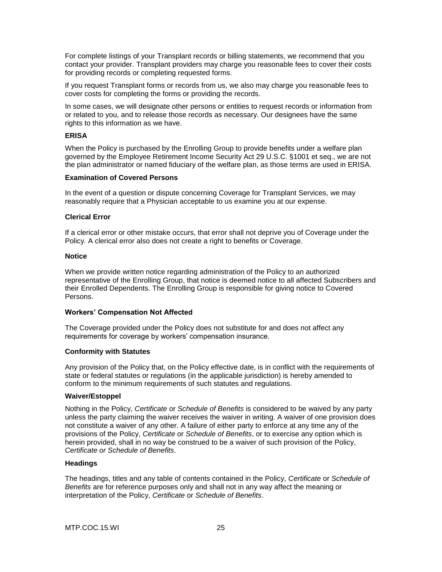For complete listings of your Transplant records or billing statements, we recommend that you contact your provider. Transplant providers may charge you reasonable fees to cover their costs for providing records or completing requested forms.

If you request Transplant forms or records from us, we also may charge you reasonable fees to cover costs for completing the forms or providing the records.

In some cases, we will designate other persons or entities to request records or information from or related to you, and to release those records as necessary. Our designees have the same rights to this information as we have.

### **ERISA**

When the Policy is purchased by the Enrolling Group to provide benefits under a welfare plan governed by the Employee Retirement Income Security Act 29 U.S.C. §1001 et seq., we are not the plan administrator or named fiduciary of the welfare plan, as those terms are used in ERISA.

#### **Examination of Covered Persons**

In the event of a question or dispute concerning Coverage for Transplant Services, we may reasonably require that a Physician acceptable to us examine you at our expense.

#### **Clerical Error**

If a clerical error or other mistake occurs, that error shall not deprive you of Coverage under the Policy. A clerical error also does not create a right to benefits or Coverage.

#### **Notice**

When we provide written notice regarding administration of the Policy to an authorized representative of the Enrolling Group, that notice is deemed notice to all affected Subscribers and their Enrolled Dependents. The Enrolling Group is responsible for giving notice to Covered Persons.

### **Workers' Compensation Not Affected**

The Coverage provided under the Policy does not substitute for and does not affect any requirements for coverage by workers' compensation insurance.

# **Conformity with Statutes**

Any provision of the Policy that, on the Policy effective date, is in conflict with the requirements of state or federal statutes or regulations (in the applicable jurisdiction) is hereby amended to conform to the minimum requirements of such statutes and regulations.

### **Waiver/Estoppel**

Nothing in the Policy, *Certificate* or *Schedule of Benefits* is considered to be waived by any party unless the party claiming the waiver receives the waiver in writing. A waiver of one provision does not constitute a waiver of any other. A failure of either party to enforce at any time any of the provisions of the Policy, *Certificate* or *Schedule of Benefits*, or to exercise any option which is herein provided, shall in no way be construed to be a waiver of such provision of the Policy, *Certificate or Schedule of Benefits*.

### **Headings**

The headings, titles and any table of contents contained in the Policy, *Certificate* or *Schedule of Benefits* are for reference purposes only and shall not in any way affect the meaning or interpretation of the Policy, *Certificate* or *Schedule of Benefits*.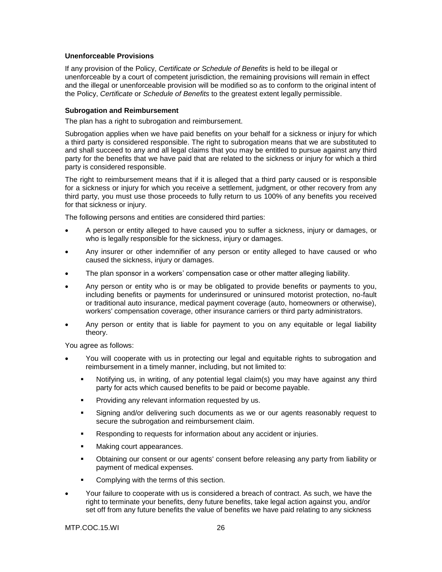### **Unenforceable Provisions**

If any provision of the Policy, *Certificate or Schedule of Benefits* is held to be illegal or unenforceable by a court of competent jurisdiction, the remaining provisions will remain in effect and the illegal or unenforceable provision will be modified so as to conform to the original intent of the Policy, *Certificate* or *Schedule of Benefits* to the greatest extent legally permissible.

### **Subrogation and Reimbursement**

The plan has a right to subrogation and reimbursement.

Subrogation applies when we have paid benefits on your behalf for a sickness or injury for which a third party is considered responsible. The right to subrogation means that we are substituted to and shall succeed to any and all legal claims that you may be entitled to pursue against any third party for the benefits that we have paid that are related to the sickness or injury for which a third party is considered responsible.

The right to reimbursement means that if it is alleged that a third party caused or is responsible for a sickness or injury for which you receive a settlement, judgment, or other recovery from any third party, you must use those proceeds to fully return to us 100% of any benefits you received for that sickness or injury.

The following persons and entities are considered third parties:

- A person or entity alleged to have caused you to suffer a sickness, injury or damages, or who is legally responsible for the sickness, injury or damages.
- Any insurer or other indemnifier of any person or entity alleged to have caused or who caused the sickness, injury or damages.
- The plan sponsor in a workers' compensation case or other matter alleging liability.
- Any person or entity who is or may be obligated to provide benefits or payments to you, including benefits or payments for underinsured or uninsured motorist protection, no-fault or traditional auto insurance, medical payment coverage (auto, homeowners or otherwise), workers' compensation coverage, other insurance carriers or third party administrators.
- Any person or entity that is liable for payment to you on any equitable or legal liability theory.

You agree as follows:

- You will cooperate with us in protecting our legal and equitable rights to subrogation and reimbursement in a timely manner, including, but not limited to:
	- Notifying us, in writing, of any potential legal claim(s) you may have against any third party for acts which caused benefits to be paid or become payable.
	- Providing any relevant information requested by us.
	- Signing and/or delivering such documents as we or our agents reasonably request to secure the subrogation and reimbursement claim.
	- Responding to requests for information about any accident or injuries.
	- Making court appearances.
	- Obtaining our consent or our agents' consent before releasing any party from liability or payment of medical expenses.
	- Complying with the terms of this section.
- Your failure to cooperate with us is considered a breach of contract. As such, we have the right to terminate your benefits, deny future benefits, take legal action against you, and/or set off from any future benefits the value of benefits we have paid relating to any sickness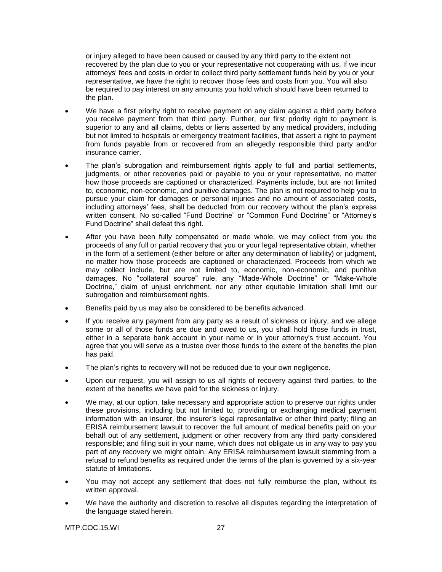or injury alleged to have been caused or caused by any third party to the extent not recovered by the plan due to you or your representative not cooperating with us. If we incur attorneys' fees and costs in order to collect third party settlement funds held by you or your representative, we have the right to recover those fees and costs from you. You will also be required to pay interest on any amounts you hold which should have been returned to the plan.

- We have a first priority right to receive payment on any claim against a third party before you receive payment from that third party. Further, our first priority right to payment is superior to any and all claims, debts or liens asserted by any medical providers, including but not limited to hospitals or emergency treatment facilities, that assert a right to payment from funds payable from or recovered from an allegedly responsible third party and/or insurance carrier.
- The plan's subrogation and reimbursement rights apply to full and partial settlements, judgments, or other recoveries paid or payable to you or your representative, no matter how those proceeds are captioned or characterized. Payments include, but are not limited to, economic, non-economic, and punitive damages. The plan is not required to help you to pursue your claim for damages or personal injuries and no amount of associated costs, including attorneys' fees, shall be deducted from our recovery without the plan's express written consent. No so-called "Fund Doctrine" or "Common Fund Doctrine" or "Attorney's Fund Doctrine" shall defeat this right.
- After you have been fully compensated or made whole, we may collect from you the proceeds of any full or partial recovery that you or your legal representative obtain, whether in the form of a settlement (either before or after any determination of liability) or judgment, no matter how those proceeds are captioned or characterized. Proceeds from which we may collect include, but are not limited to, economic, non-economic, and punitive damages. No "collateral source" rule, any "Made-Whole Doctrine" or "Make-Whole Doctrine," claim of unjust enrichment, nor any other equitable limitation shall limit our subrogation and reimbursement rights.
- **Benefits paid by us may also be considered to be benefits advanced.**
- If you receive any payment from any party as a result of sickness or injury, and we allege some or all of those funds are due and owed to us, you shall hold those funds in trust, either in a separate bank account in your name or in your attorney's trust account. You agree that you will serve as a trustee over those funds to the extent of the benefits the plan has paid.
- The plan's rights to recovery will not be reduced due to your own negligence.
- Upon our request, you will assign to us all rights of recovery against third parties, to the extent of the benefits we have paid for the sickness or injury.
- We may, at our option, take necessary and appropriate action to preserve our rights under these provisions, including but not limited to, providing or exchanging medical payment information with an insurer, the insurer's legal representative or other third party; filing an ERISA reimbursement lawsuit to recover the full amount of medical benefits paid on your behalf out of any settlement, judgment or other recovery from any third party considered responsible; and filing suit in your name, which does not obligate us in any way to pay you part of any recovery we might obtain. Any ERISA reimbursement lawsuit stemming from a refusal to refund benefits as required under the terms of the plan is governed by a six-year statute of limitations.
- You may not accept any settlement that does not fully reimburse the plan, without its written approval.
- We have the authority and discretion to resolve all disputes regarding the interpretation of the language stated herein.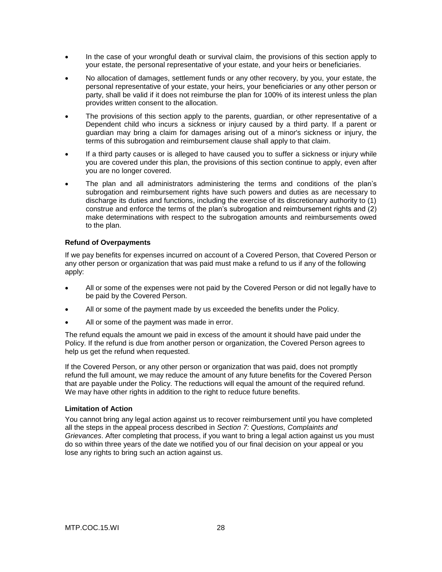- In the case of your wrongful death or survival claim, the provisions of this section apply to your estate, the personal representative of your estate, and your heirs or beneficiaries.
- No allocation of damages, settlement funds or any other recovery, by you, your estate, the personal representative of your estate, your heirs, your beneficiaries or any other person or party, shall be valid if it does not reimburse the plan for 100% of its interest unless the plan provides written consent to the allocation.
- The provisions of this section apply to the parents, guardian, or other representative of a Dependent child who incurs a sickness or injury caused by a third party. If a parent or guardian may bring a claim for damages arising out of a minor's sickness or injury, the terms of this subrogation and reimbursement clause shall apply to that claim.
- If a third party causes or is alleged to have caused you to suffer a sickness or injury while you are covered under this plan, the provisions of this section continue to apply, even after you are no longer covered.
- The plan and all administrators administering the terms and conditions of the plan's subrogation and reimbursement rights have such powers and duties as are necessary to discharge its duties and functions, including the exercise of its discretionary authority to (1) construe and enforce the terms of the plan's subrogation and reimbursement rights and (2) make determinations with respect to the subrogation amounts and reimbursements owed to the plan.

# **Refund of Overpayments**

If we pay benefits for expenses incurred on account of a Covered Person, that Covered Person or any other person or organization that was paid must make a refund to us if any of the following apply:

- All or some of the expenses were not paid by the Covered Person or did not legally have to be paid by the Covered Person.
- All or some of the payment made by us exceeded the benefits under the Policy.
- All or some of the payment was made in error.

The refund equals the amount we paid in excess of the amount it should have paid under the Policy. If the refund is due from another person or organization, the Covered Person agrees to help us get the refund when requested.

If the Covered Person, or any other person or organization that was paid, does not promptly refund the full amount, we may reduce the amount of any future benefits for the Covered Person that are payable under the Policy. The reductions will equal the amount of the required refund. We may have other rights in addition to the right to reduce future benefits.

### **Limitation of Action**

You cannot bring any legal action against us to recover reimbursement until you have completed all the steps in the appeal process described in *Section 7: Questions, Complaints and Grievances*. After completing that process, if you want to bring a legal action against us you must do so within three years of the date we notified you of our final decision on your appeal or you lose any rights to bring such an action against us.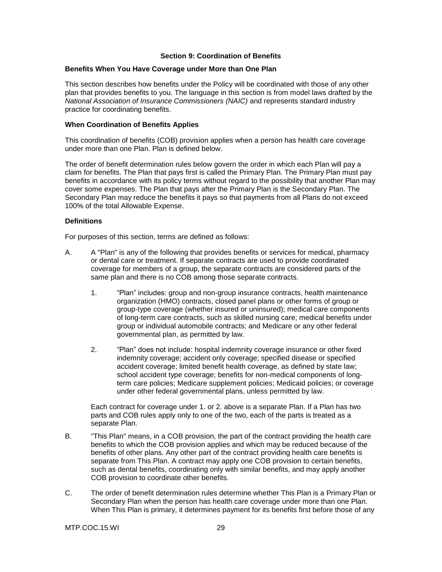# **Section 9: Coordination of Benefits**

### **Benefits When You Have Coverage under More than One Plan**

This section describes how benefits under the Policy will be coordinated with those of any other plan that provides benefits to you. The language in this section is from model laws drafted by the *National Association of Insurance Commissioners (NAIC)* and represents standard industry practice for coordinating benefits.

### **When Coordination of Benefits Applies**

This coordination of benefits (COB) provision applies when a person has health care coverage under more than one Plan. Plan is defined below.

The order of benefit determination rules below govern the order in which each Plan will pay a claim for benefits. The Plan that pays first is called the Primary Plan. The Primary Plan must pay benefits in accordance with its policy terms without regard to the possibility that another Plan may cover some expenses. The Plan that pays after the Primary Plan is the Secondary Plan. The Secondary Plan may reduce the benefits it pays so that payments from all Plans do not exceed 100% of the total Allowable Expense.

#### **Definitions**

For purposes of this section, terms are defined as follows:

- A. A "Plan" is any of the following that provides benefits or services for medical, pharmacy or dental care or treatment. If separate contracts are used to provide coordinated coverage for members of a group, the separate contracts are considered parts of the same plan and there is no COB among those separate contracts.
	- 1. "Plan" includes: group and non-group insurance contracts, health maintenance organization (HMO) contracts, closed panel plans or other forms of group or group-type coverage (whether insured or uninsured); medical care components of long-term care contracts, such as skilled nursing care; medical benefits under group or individual automobile contracts; and Medicare or any other federal governmental plan, as permitted by law.
	- 2. "Plan" does not include: hospital indemnity coverage insurance or other fixed indemnity coverage; accident only coverage; specified disease or specified accident coverage; limited benefit health coverage, as defined by state law; school accident type coverage; benefits for non-medical components of longterm care policies; Medicare supplement policies; Medicaid policies; or coverage under other federal governmental plans, unless permitted by law.

Each contract for coverage under 1. or 2. above is a separate Plan. If a Plan has two parts and COB rules apply only to one of the two, each of the parts is treated as a separate Plan.

- B. "This Plan" means, in a COB provision, the part of the contract providing the health care benefits to which the COB provision applies and which may be reduced because of the benefits of other plans. Any other part of the contract providing health care benefits is separate from This Plan. A contract may apply one COB provision to certain benefits, such as dental benefits, coordinating only with similar benefits, and may apply another COB provision to coordinate other benefits.
- C. The order of benefit determination rules determine whether This Plan is a Primary Plan or Secondary Plan when the person has health care coverage under more than one Plan. When This Plan is primary, it determines payment for its benefits first before those of any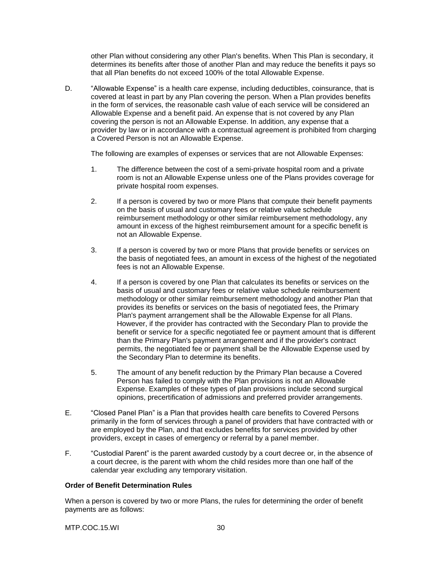other Plan without considering any other Plan's benefits. When This Plan is secondary, it determines its benefits after those of another Plan and may reduce the benefits it pays so that all Plan benefits do not exceed 100% of the total Allowable Expense.

D. "Allowable Expense" is a health care expense, including deductibles, coinsurance, that is covered at least in part by any Plan covering the person. When a Plan provides benefits in the form of services, the reasonable cash value of each service will be considered an Allowable Expense and a benefit paid. An expense that is not covered by any Plan covering the person is not an Allowable Expense. In addition, any expense that a provider by law or in accordance with a contractual agreement is prohibited from charging a Covered Person is not an Allowable Expense.

The following are examples of expenses or services that are not Allowable Expenses:

- 1. The difference between the cost of a semi-private hospital room and a private room is not an Allowable Expense unless one of the Plans provides coverage for private hospital room expenses.
- 2. If a person is covered by two or more Plans that compute their benefit payments on the basis of usual and customary fees or relative value schedule reimbursement methodology or other similar reimbursement methodology, any amount in excess of the highest reimbursement amount for a specific benefit is not an Allowable Expense.
- 3. If a person is covered by two or more Plans that provide benefits or services on the basis of negotiated fees, an amount in excess of the highest of the negotiated fees is not an Allowable Expense.
- 4. If a person is covered by one Plan that calculates its benefits or services on the basis of usual and customary fees or relative value schedule reimbursement methodology or other similar reimbursement methodology and another Plan that provides its benefits or services on the basis of negotiated fees, the Primary Plan's payment arrangement shall be the Allowable Expense for all Plans. However, if the provider has contracted with the Secondary Plan to provide the benefit or service for a specific negotiated fee or payment amount that is different than the Primary Plan's payment arrangement and if the provider's contract permits, the negotiated fee or payment shall be the Allowable Expense used by the Secondary Plan to determine its benefits.
- 5. The amount of any benefit reduction by the Primary Plan because a Covered Person has failed to comply with the Plan provisions is not an Allowable Expense. Examples of these types of plan provisions include second surgical opinions, precertification of admissions and preferred provider arrangements.
- E. "Closed Panel Plan" is a Plan that provides health care benefits to Covered Persons primarily in the form of services through a panel of providers that have contracted with or are employed by the Plan, and that excludes benefits for services provided by other providers, except in cases of emergency or referral by a panel member.
- F. "Custodial Parent" is the parent awarded custody by a court decree or, in the absence of a court decree, is the parent with whom the child resides more than one half of the calendar year excluding any temporary visitation.

# **Order of Benefit Determination Rules**

When a person is covered by two or more Plans, the rules for determining the order of benefit payments are as follows: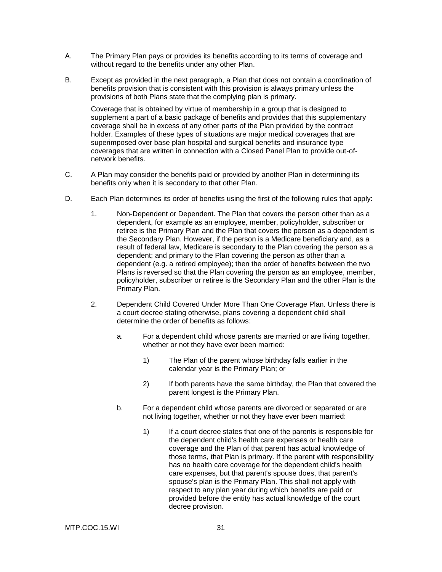- A. The Primary Plan pays or provides its benefits according to its terms of coverage and without regard to the benefits under any other Plan.
- B. Except as provided in the next paragraph, a Plan that does not contain a coordination of benefits provision that is consistent with this provision is always primary unless the provisions of both Plans state that the complying plan is primary.

Coverage that is obtained by virtue of membership in a group that is designed to supplement a part of a basic package of benefits and provides that this supplementary coverage shall be in excess of any other parts of the Plan provided by the contract holder. Examples of these types of situations are major medical coverages that are superimposed over base plan hospital and surgical benefits and insurance type coverages that are written in connection with a Closed Panel Plan to provide out-ofnetwork benefits.

- C. A Plan may consider the benefits paid or provided by another Plan in determining its benefits only when it is secondary to that other Plan.
- D. Each Plan determines its order of benefits using the first of the following rules that apply:
	- 1. Non-Dependent or Dependent. The Plan that covers the person other than as a dependent, for example as an employee, member, policyholder, subscriber or retiree is the Primary Plan and the Plan that covers the person as a dependent is the Secondary Plan. However, if the person is a Medicare beneficiary and, as a result of federal law, Medicare is secondary to the Plan covering the person as a dependent; and primary to the Plan covering the person as other than a dependent (e.g. a retired employee); then the order of benefits between the two Plans is reversed so that the Plan covering the person as an employee, member, policyholder, subscriber or retiree is the Secondary Plan and the other Plan is the Primary Plan.
	- 2. Dependent Child Covered Under More Than One Coverage Plan. Unless there is a court decree stating otherwise, plans covering a dependent child shall determine the order of benefits as follows:
		- a. For a dependent child whose parents are married or are living together, whether or not they have ever been married:
			- 1) The Plan of the parent whose birthday falls earlier in the calendar year is the Primary Plan; or
			- 2) If both parents have the same birthday, the Plan that covered the parent longest is the Primary Plan.
		- b. For a dependent child whose parents are divorced or separated or are not living together, whether or not they have ever been married:
			- 1) If a court decree states that one of the parents is responsible for the dependent child's health care expenses or health care coverage and the Plan of that parent has actual knowledge of those terms, that Plan is primary. If the parent with responsibility has no health care coverage for the dependent child's health care expenses, but that parent's spouse does, that parent's spouse's plan is the Primary Plan. This shall not apply with respect to any plan year during which benefits are paid or provided before the entity has actual knowledge of the court decree provision.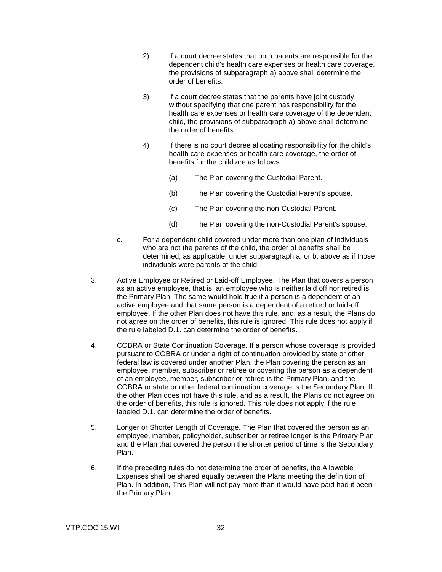- 2) If a court decree states that both parents are responsible for the dependent child's health care expenses or health care coverage, the provisions of subparagraph a) above shall determine the order of benefits.
- 3) If a court decree states that the parents have joint custody without specifying that one parent has responsibility for the health care expenses or health care coverage of the dependent child, the provisions of subparagraph a) above shall determine the order of benefits.
- 4) If there is no court decree allocating responsibility for the child's health care expenses or health care coverage, the order of benefits for the child are as follows:
	- (a) The Plan covering the Custodial Parent.
	- (b) The Plan covering the Custodial Parent's spouse.
	- (c) The Plan covering the non-Custodial Parent.
	- (d) The Plan covering the non-Custodial Parent's spouse.
- c. For a dependent child covered under more than one plan of individuals who are not the parents of the child, the order of benefits shall be determined, as applicable, under subparagraph a. or b. above as if those individuals were parents of the child.
- 3. Active Employee or Retired or Laid-off Employee. The Plan that covers a person as an active employee, that is, an employee who is neither laid off nor retired is the Primary Plan. The same would hold true if a person is a dependent of an active employee and that same person is a dependent of a retired or laid-off employee. If the other Plan does not have this rule, and, as a result, the Plans do not agree on the order of benefits, this rule is ignored. This rule does not apply if the rule labeled D.1. can determine the order of benefits.
- 4. COBRA or State Continuation Coverage. If a person whose coverage is provided pursuant to COBRA or under a right of continuation provided by state or other federal law is covered under another Plan, the Plan covering the person as an employee, member, subscriber or retiree or covering the person as a dependent of an employee, member, subscriber or retiree is the Primary Plan, and the COBRA or state or other federal continuation coverage is the Secondary Plan. If the other Plan does not have this rule, and as a result, the Plans do not agree on the order of benefits, this rule is ignored. This rule does not apply if the rule labeled D.1. can determine the order of benefits.
- 5. Longer or Shorter Length of Coverage. The Plan that covered the person as an employee, member, policyholder, subscriber or retiree longer is the Primary Plan and the Plan that covered the person the shorter period of time is the Secondary Plan.
- 6. If the preceding rules do not determine the order of benefits, the Allowable Expenses shall be shared equally between the Plans meeting the definition of Plan. In addition, This Plan will not pay more than it would have paid had it been the Primary Plan.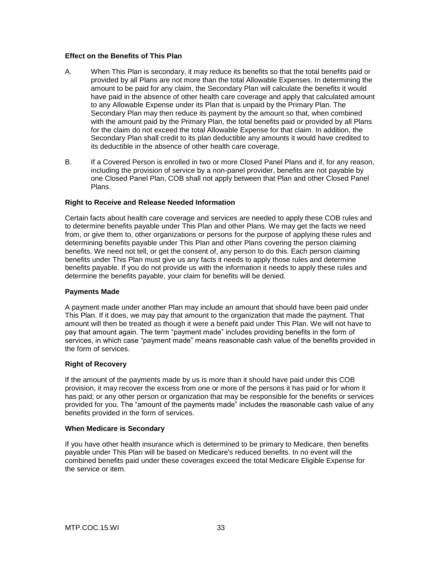# **Effect on the Benefits of This Plan**

- A. When This Plan is secondary, it may reduce its benefits so that the total benefits paid or provided by all Plans are not more than the total Allowable Expenses. In determining the amount to be paid for any claim, the Secondary Plan will calculate the benefits it would have paid in the absence of other health care coverage and apply that calculated amount to any Allowable Expense under its Plan that is unpaid by the Primary Plan. The Secondary Plan may then reduce its payment by the amount so that, when combined with the amount paid by the Primary Plan, the total benefits paid or provided by all Plans for the claim do not exceed the total Allowable Expense for that claim. In addition, the Secondary Plan shall credit to its plan deductible any amounts it would have credited to its deductible in the absence of other health care coverage.
- B. If a Covered Person is enrolled in two or more Closed Panel Plans and if, for any reason, including the provision of service by a non-panel provider, benefits are not payable by one Closed Panel Plan, COB shall not apply between that Plan and other Closed Panel Plans.

# **Right to Receive and Release Needed Information**

Certain facts about health care coverage and services are needed to apply these COB rules and to determine benefits payable under This Plan and other Plans. We may get the facts we need from, or give them to, other organizations or persons for the purpose of applying these rules and determining benefits payable under This Plan and other Plans covering the person claiming benefits. We need not tell, or get the consent of, any person to do this. Each person claiming benefits under This Plan must give us any facts it needs to apply those rules and determine benefits payable. If you do not provide us with the information it needs to apply these rules and determine the benefits payable, your claim for benefits will be denied.

### **Payments Made**

A payment made under another Plan may include an amount that should have been paid under This Plan. If it does, we may pay that amount to the organization that made the payment. That amount will then be treated as though it were a benefit paid under This Plan. We will not have to pay that amount again. The term "payment made" includes providing benefits in the form of services, in which case "payment made" means reasonable cash value of the benefits provided in the form of services.

### **Right of Recovery**

If the amount of the payments made by us is more than it should have paid under this COB provision, it may recover the excess from one or more of the persons it has paid or for whom it has paid; or any other person or organization that may be responsible for the benefits or services provided for you. The "amount of the payments made" includes the reasonable cash value of any benefits provided in the form of services.

### **When Medicare is Secondary**

If you have other health insurance which is determined to be primary to Medicare, then benefits payable under This Plan will be based on Medicare's reduced benefits. In no event will the combined benefits paid under these coverages exceed the total Medicare Eligible Expense for the service or item.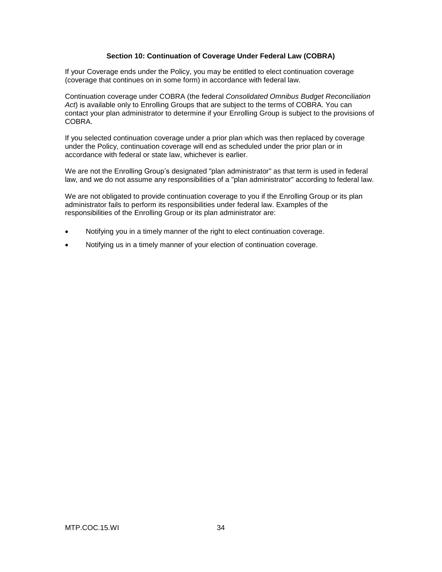# **Section 10: Continuation of Coverage Under Federal Law (COBRA)**

If your Coverage ends under the Policy, you may be entitled to elect continuation coverage (coverage that continues on in some form) in accordance with federal law.

Continuation coverage under COBRA (the federal *Consolidated Omnibus Budget Reconciliation Act*) is available only to Enrolling Groups that are subject to the terms of COBRA. You can contact your plan administrator to determine if your Enrolling Group is subject to the provisions of COBRA.

If you selected continuation coverage under a prior plan which was then replaced by coverage under the Policy, continuation coverage will end as scheduled under the prior plan or in accordance with federal or state law, whichever is earlier.

We are not the Enrolling Group's designated "plan administrator" as that term is used in federal law, and we do not assume any responsibilities of a "plan administrator" according to federal law.

We are not obligated to provide continuation coverage to you if the Enrolling Group or its plan administrator fails to perform its responsibilities under federal law. Examples of the responsibilities of the Enrolling Group or its plan administrator are:

- Notifying you in a timely manner of the right to elect continuation coverage.
- Notifying us in a timely manner of your election of continuation coverage.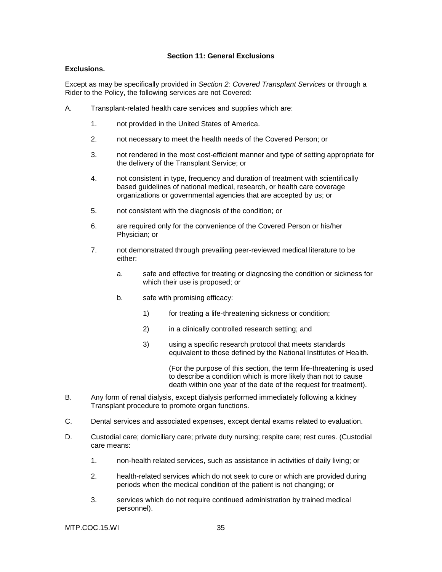# **Section 11: General Exclusions**

### **Exclusions.**

Except as may be specifically provided in *Section 2: Covered Transplant Services* or through a Rider to the Policy, the following services are not Covered:

- A. Transplant-related health care services and supplies which are:
	- 1. not provided in the United States of America.
	- 2. not necessary to meet the health needs of the Covered Person; or
	- 3. not rendered in the most cost-efficient manner and type of setting appropriate for the delivery of the Transplant Service; or
	- 4. not consistent in type, frequency and duration of treatment with scientifically based guidelines of national medical, research, or health care coverage organizations or governmental agencies that are accepted by us; or
	- 5. not consistent with the diagnosis of the condition; or
	- 6. are required only for the convenience of the Covered Person or his/her Physician; or
	- 7. not demonstrated through prevailing peer-reviewed medical literature to be either:
		- a. safe and effective for treating or diagnosing the condition or sickness for which their use is proposed; or
		- b. safe with promising efficacy:
			- 1) for treating a life-threatening sickness or condition;
			- 2) in a clinically controlled research setting; and
			- 3) using a specific research protocol that meets standards equivalent to those defined by the National Institutes of Health.

(For the purpose of this section, the term life-threatening is used to describe a condition which is more likely than not to cause death within one year of the date of the request for treatment).

- B. Any form of renal dialysis, except dialysis performed immediately following a kidney Transplant procedure to promote organ functions.
- C. Dental services and associated expenses, except dental exams related to evaluation.
- D. Custodial care; domiciliary care; private duty nursing; respite care; rest cures. (Custodial care means:
	- 1. non-health related services, such as assistance in activities of daily living; or
	- 2. health-related services which do not seek to cure or which are provided during periods when the medical condition of the patient is not changing; or
	- 3. services which do not require continued administration by trained medical personnel).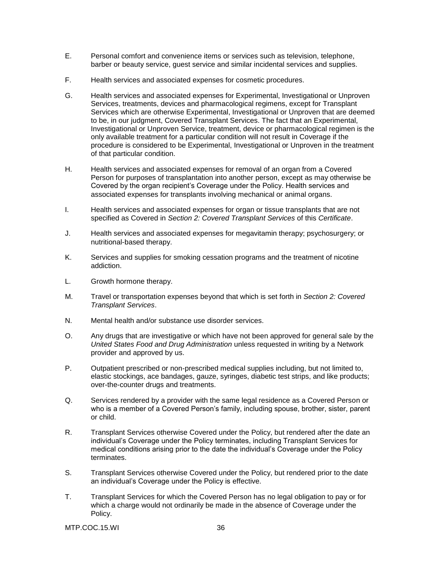- E. Personal comfort and convenience items or services such as television, telephone, barber or beauty service, guest service and similar incidental services and supplies.
- F. Health services and associated expenses for cosmetic procedures.
- G. Health services and associated expenses for Experimental, Investigational or Unproven Services, treatments, devices and pharmacological regimens, except for Transplant Services which are otherwise Experimental, Investigational or Unproven that are deemed to be, in our judgment, Covered Transplant Services. The fact that an Experimental, Investigational or Unproven Service, treatment, device or pharmacological regimen is the only available treatment for a particular condition will not result in Coverage if the procedure is considered to be Experimental, Investigational or Unproven in the treatment of that particular condition.
- H. Health services and associated expenses for removal of an organ from a Covered Person for purposes of transplantation into another person, except as may otherwise be Covered by the organ recipient's Coverage under the Policy. Health services and associated expenses for transplants involving mechanical or animal organs.
- I. Health services and associated expenses for organ or tissue transplants that are not specified as Covered in *Section 2: Covered Transplant Services* of this *Certificate*.
- J. Health services and associated expenses for megavitamin therapy; psychosurgery; or nutritional-based therapy.
- K. Services and supplies for smoking cessation programs and the treatment of nicotine addiction.
- L. Growth hormone therapy.
- M. Travel or transportation expenses beyond that which is set forth in *Section 2: Covered Transplant Services*.
- N. Mental health and/or substance use disorder services.
- O. Any drugs that are investigative or which have not been approved for general sale by the *United States Food and Drug Administration* unless requested in writing by a Network provider and approved by us.
- P. Outpatient prescribed or non-prescribed medical supplies including, but not limited to, elastic stockings, ace bandages, gauze, syringes, diabetic test strips, and like products; over-the-counter drugs and treatments.
- Q. Services rendered by a provider with the same legal residence as a Covered Person or who is a member of a Covered Person's family, including spouse, brother, sister, parent or child.
- R. Transplant Services otherwise Covered under the Policy, but rendered after the date an individual's Coverage under the Policy terminates, including Transplant Services for medical conditions arising prior to the date the individual's Coverage under the Policy terminates.
- S. Transplant Services otherwise Covered under the Policy, but rendered prior to the date an individual's Coverage under the Policy is effective.
- T. Transplant Services for which the Covered Person has no legal obligation to pay or for which a charge would not ordinarily be made in the absence of Coverage under the Policy.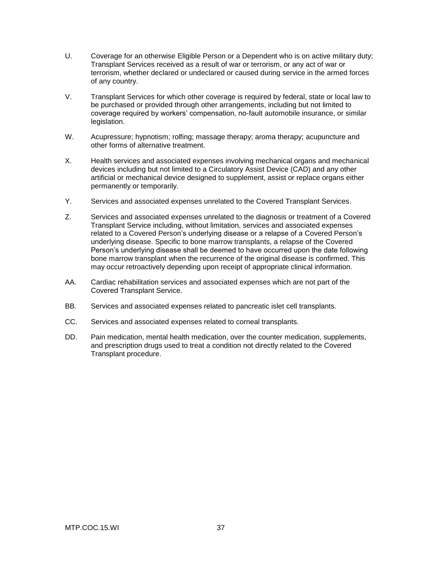- U. Coverage for an otherwise Eligible Person or a Dependent who is on active military duty; Transplant Services received as a result of war or terrorism, or any act of war or terrorism, whether declared or undeclared or caused during service in the armed forces of any country.
- V. Transplant Services for which other coverage is required by federal, state or local law to be purchased or provided through other arrangements, including but not limited to coverage required by workers' compensation, no-fault automobile insurance, or similar legislation.
- W. Acupressure; hypnotism; rolfing; massage therapy; aroma therapy; acupuncture and other forms of alternative treatment.
- X. Health services and associated expenses involving mechanical organs and mechanical devices including but not limited to a Circulatory Assist Device (CAD) and any other artificial or mechanical device designed to supplement, assist or replace organs either permanently or temporarily.
- Y. Services and associated expenses unrelated to the Covered Transplant Services.
- Z. Services and associated expenses unrelated to the diagnosis or treatment of a Covered Transplant Service including, without limitation, services and associated expenses related to a Covered Person's underlying disease or a relapse of a Covered Person's underlying disease. Specific to bone marrow transplants, a relapse of the Covered Person's underlying disease shall be deemed to have occurred upon the date following bone marrow transplant when the recurrence of the original disease is confirmed. This may occur retroactively depending upon receipt of appropriate clinical information.
- AA. Cardiac rehabilitation services and associated expenses which are not part of the Covered Transplant Service.
- BB. Services and associated expenses related to pancreatic islet cell transplants.
- CC. Services and associated expenses related to corneal transplants.
- DD. Pain medication, mental health medication, over the counter medication, supplements, and prescription drugs used to treat a condition not directly related to the Covered Transplant procedure.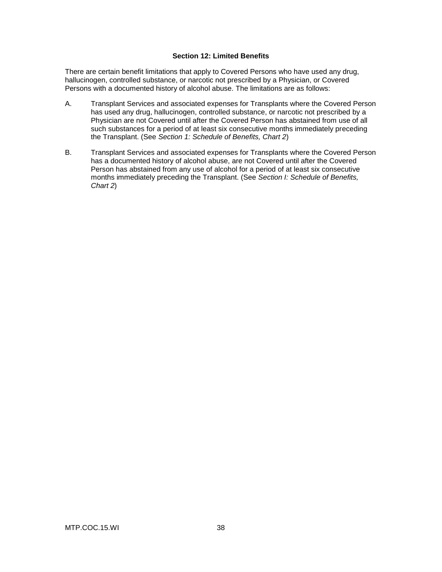# **Section 12: Limited Benefits**

There are certain benefit limitations that apply to Covered Persons who have used any drug, hallucinogen, controlled substance, or narcotic not prescribed by a Physician, or Covered Persons with a documented history of alcohol abuse. The limitations are as follows:

- A. Transplant Services and associated expenses for Transplants where the Covered Person has used any drug, hallucinogen, controlled substance, or narcotic not prescribed by a Physician are not Covered until after the Covered Person has abstained from use of all such substances for a period of at least six consecutive months immediately preceding the Transplant. (See *Section 1: Schedule of Benefits, Chart 2*)
- B. Transplant Services and associated expenses for Transplants where the Covered Person has a documented history of alcohol abuse, are not Covered until after the Covered Person has abstained from any use of alcohol for a period of at least six consecutive months immediately preceding the Transplant. (See *Section I: Schedule of Benefits, Chart 2*)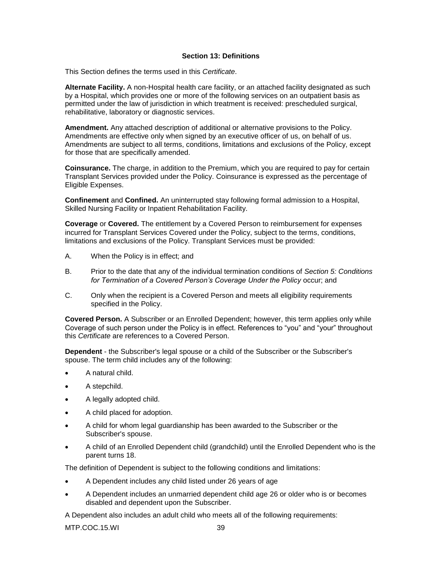# **Section 13: Definitions**

This Section defines the terms used in this *Certificate*.

**Alternate Facility.** A non-Hospital health care facility, or an attached facility designated as such by a Hospital, which provides one or more of the following services on an outpatient basis as permitted under the law of jurisdiction in which treatment is received: prescheduled surgical, rehabilitative, laboratory or diagnostic services.

**Amendment.** Any attached description of additional or alternative provisions to the Policy. Amendments are effective only when signed by an executive officer of us, on behalf of us. Amendments are subject to all terms, conditions, limitations and exclusions of the Policy, except for those that are specifically amended.

**Coinsurance.** The charge, in addition to the Premium, which you are required to pay for certain Transplant Services provided under the Policy. Coinsurance is expressed as the percentage of Eligible Expenses.

**Confinement** and **Confined.** An uninterrupted stay following formal admission to a Hospital, Skilled Nursing Facility or Inpatient Rehabilitation Facility.

**Coverage** or **Covered.** The entitlement by a Covered Person to reimbursement for expenses incurred for Transplant Services Covered under the Policy, subject to the terms, conditions, limitations and exclusions of the Policy. Transplant Services must be provided:

- A. When the Policy is in effect; and
- B. Prior to the date that any of the individual termination conditions of *Section 5: Conditions for Termination of a Covered Person's Coverage Under the Policy* occur; and
- C. Only when the recipient is a Covered Person and meets all eligibility requirements specified in the Policy.

**Covered Person.** A Subscriber or an Enrolled Dependent; however, this term applies only while Coverage of such person under the Policy is in effect. References to "you" and "your" throughout this *Certificate* are references to a Covered Person.

**Dependent** - the Subscriber's legal spouse or a child of the Subscriber or the Subscriber's spouse. The term child includes any of the following:

- A natural child.
- A stepchild.
- A legally adopted child.
- A child placed for adoption.
- A child for whom legal guardianship has been awarded to the Subscriber or the Subscriber's spouse.
- A child of an Enrolled Dependent child (grandchild) until the Enrolled Dependent who is the parent turns 18.

The definition of Dependent is subject to the following conditions and limitations:

- A Dependent includes any child listed under 26 years of age
- A Dependent includes an unmarried dependent child age 26 or older who is or becomes disabled and dependent upon the Subscriber.

A Dependent also includes an adult child who meets all of the following requirements: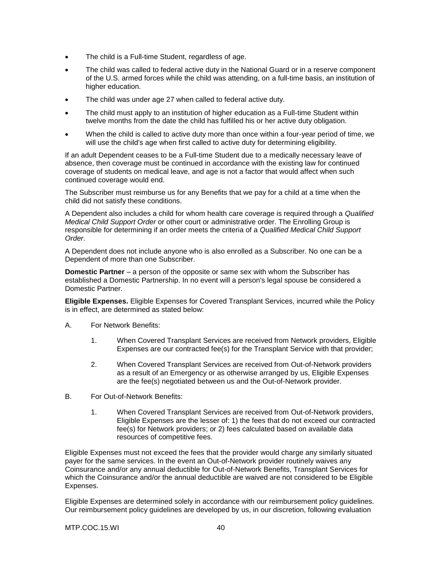- The child is a Full-time Student, regardless of age.
- The child was called to federal active duty in the National Guard or in a reserve component of the U.S. armed forces while the child was attending, on a full-time basis, an institution of higher education.
- The child was under age 27 when called to federal active duty.
- The child must apply to an institution of higher education as a Full-time Student within twelve months from the date the child has fulfilled his or her active duty obligation.
- When the child is called to active duty more than once within a four-year period of time, we will use the child's age when first called to active duty for determining eligibility.

If an adult Dependent ceases to be a Full-time Student due to a medically necessary leave of absence, then coverage must be continued in accordance with the existing law for continued coverage of students on medical leave, and age is not a factor that would affect when such continued coverage would end.

The Subscriber must reimburse us for any Benefits that we pay for a child at a time when the child did not satisfy these conditions.

A Dependent also includes a child for whom health care coverage is required through a *Qualified Medical Child Support Order* or other court or administrative order. The Enrolling Group is responsible for determining if an order meets the criteria of a *Qualified Medical Child Support Order*.

A Dependent does not include anyone who is also enrolled as a Subscriber. No one can be a Dependent of more than one Subscriber.

**Domestic Partner** – a person of the opposite or same sex with whom the Subscriber has established a Domestic Partnership. In no event will a person's legal spouse be considered a Domestic Partner.

**Eligible Expenses.** Eligible Expenses for Covered Transplant Services, incurred while the Policy is in effect, are determined as stated below:

- A. For Network Benefits:
	- 1. When Covered Transplant Services are received from Network providers, Eligible Expenses are our contracted fee(s) for the Transplant Service with that provider;
	- 2. When Covered Transplant Services are received from Out-of-Network providers as a result of an Emergency or as otherwise arranged by us, Eligible Expenses are the fee(s) negotiated between us and the Out-of-Network provider.
- B. For Out-of-Network Benefits:
	- 1. When Covered Transplant Services are received from Out-of-Network providers, Eligible Expenses are the lesser of: 1) the fees that do not exceed our contracted fee(s) for Network providers; or 2) fees calculated based on available data resources of competitive fees.

Eligible Expenses must not exceed the fees that the provider would charge any similarly situated payer for the same services. In the event an Out-of-Network provider routinely waives any Coinsurance and/or any annual deductible for Out-of-Network Benefits, Transplant Services for which the Coinsurance and/or the annual deductible are waived are not considered to be Eligible Expenses.

Eligible Expenses are determined solely in accordance with our reimbursement policy guidelines. Our reimbursement policy guidelines are developed by us, in our discretion, following evaluation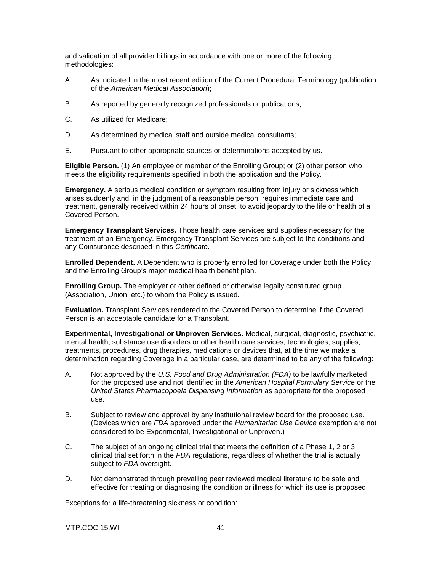and validation of all provider billings in accordance with one or more of the following methodologies:

- A. As indicated in the most recent edition of the Current Procedural Terminology (publication of the *American Medical Association*);
- B. As reported by generally recognized professionals or publications;
- C. As utilized for Medicare;
- D. As determined by medical staff and outside medical consultants;
- E. Pursuant to other appropriate sources or determinations accepted by us.

**Eligible Person.** (1) An employee or member of the Enrolling Group; or (2) other person who meets the eligibility requirements specified in both the application and the Policy.

**Emergency.** A serious medical condition or symptom resulting from injury or sickness which arises suddenly and, in the judgment of a reasonable person, requires immediate care and treatment, generally received within 24 hours of onset, to avoid jeopardy to the life or health of a Covered Person.

**Emergency Transplant Services.** Those health care services and supplies necessary for the treatment of an Emergency. Emergency Transplant Services are subject to the conditions and any Coinsurance described in this *Certificate*.

**Enrolled Dependent.** A Dependent who is properly enrolled for Coverage under both the Policy and the Enrolling Group's major medical health benefit plan.

**Enrolling Group.** The employer or other defined or otherwise legally constituted group (Association, Union, etc.) to whom the Policy is issued.

**Evaluation.** Transplant Services rendered to the Covered Person to determine if the Covered Person is an acceptable candidate for a Transplant.

**Experimental, Investigational or Unproven Services.** Medical, surgical, diagnostic, psychiatric, mental health, substance use disorders or other health care services, technologies, supplies, treatments, procedures, drug therapies, medications or devices that, at the time we make a determination regarding Coverage in a particular case, are determined to be any of the following:

- A. Not approved by the *U.S. Food and Drug Administration (FDA)* to be lawfully marketed for the proposed use and not identified in the *American Hospital Formulary Service* or the *United States Pharmacopoeia Dispensing Information* as appropriate for the proposed use.
- B. Subject to review and approval by any institutional review board for the proposed use. (Devices which are *FDA* approved under the *Humanitarian Use Device* exemption are not considered to be Experimental, Investigational or Unproven.)
- C. The subject of an ongoing clinical trial that meets the definition of a Phase 1, 2 or 3 clinical trial set forth in the *FDA* regulations, regardless of whether the trial is actually subject to *FDA* oversight.
- D. Not demonstrated through prevailing peer reviewed medical literature to be safe and effective for treating or diagnosing the condition or illness for which its use is proposed.

Exceptions for a life-threatening sickness or condition: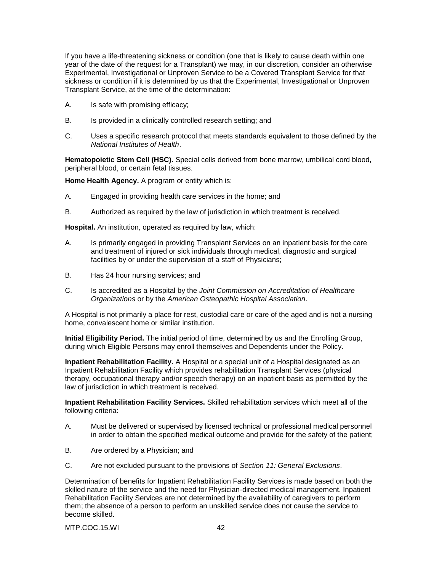If you have a life-threatening sickness or condition (one that is likely to cause death within one year of the date of the request for a Transplant) we may, in our discretion, consider an otherwise Experimental, Investigational or Unproven Service to be a Covered Transplant Service for that sickness or condition if it is determined by us that the Experimental, Investigational or Unproven Transplant Service, at the time of the determination:

- A. Is safe with promising efficacy;
- B. Is provided in a clinically controlled research setting; and
- C. Uses a specific research protocol that meets standards equivalent to those defined by the *National Institutes of Health*.

**Hematopoietic Stem Cell (HSC).** Special cells derived from bone marrow, umbilical cord blood, peripheral blood, or certain fetal tissues.

**Home Health Agency.** A program or entity which is:

- A. Engaged in providing health care services in the home; and
- B. Authorized as required by the law of jurisdiction in which treatment is received.

**Hospital.** An institution, operated as required by law, which:

- A. Is primarily engaged in providing Transplant Services on an inpatient basis for the care and treatment of injured or sick individuals through medical, diagnostic and surgical facilities by or under the supervision of a staff of Physicians;
- B. Has 24 hour nursing services; and
- C. Is accredited as a Hospital by the *Joint Commission on Accreditation of Healthcare Organizations* or by the *American Osteopathic Hospital Association*.

A Hospital is not primarily a place for rest, custodial care or care of the aged and is not a nursing home, convalescent home or similar institution.

**Initial Eligibility Period.** The initial period of time, determined by us and the Enrolling Group, during which Eligible Persons may enroll themselves and Dependents under the Policy.

**Inpatient Rehabilitation Facility.** A Hospital or a special unit of a Hospital designated as an Inpatient Rehabilitation Facility which provides rehabilitation Transplant Services (physical therapy, occupational therapy and/or speech therapy) on an inpatient basis as permitted by the law of jurisdiction in which treatment is received.

**Inpatient Rehabilitation Facility Services.** Skilled rehabilitation services which meet all of the following criteria:

- A. Must be delivered or supervised by licensed technical or professional medical personnel in order to obtain the specified medical outcome and provide for the safety of the patient;
- B. Are ordered by a Physician; and
- C. Are not excluded pursuant to the provisions of *Section 11: General Exclusions*.

Determination of benefits for Inpatient Rehabilitation Facility Services is made based on both the skilled nature of the service and the need for Physician-directed medical management. Inpatient Rehabilitation Facility Services are not determined by the availability of caregivers to perform them; the absence of a person to perform an unskilled service does not cause the service to become skilled.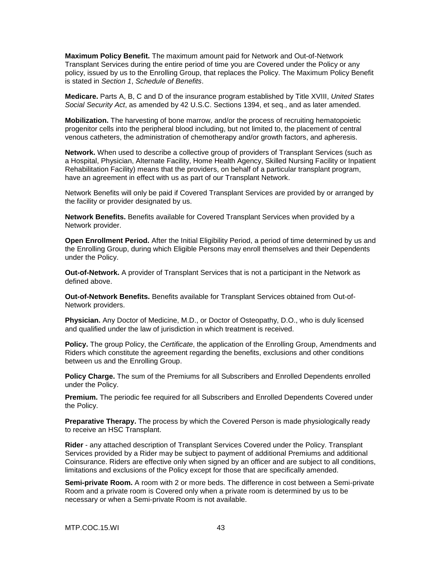**Maximum Policy Benefit.** The maximum amount paid for Network and Out-of-Network Transplant Services during the entire period of time you are Covered under the Policy or any policy, issued by us to the Enrolling Group, that replaces the Policy. The Maximum Policy Benefit is stated in *Section 1*, *Schedule of Benefits*.

**Medicare.** Parts A, B, C and D of the insurance program established by Title XVIII, *United States Social Security Act*, as amended by 42 U.S.C. Sections 1394, et seq., and as later amended.

**Mobilization.** The harvesting of bone marrow, and/or the process of recruiting hematopoietic progenitor cells into the peripheral blood including, but not limited to, the placement of central venous catheters, the administration of chemotherapy and/or growth factors, and apheresis.

**Network.** When used to describe a collective group of providers of Transplant Services (such as a Hospital, Physician, Alternate Facility, Home Health Agency, Skilled Nursing Facility or Inpatient Rehabilitation Facility) means that the providers, on behalf of a particular transplant program, have an agreement in effect with us as part of our Transplant Network.

Network Benefits will only be paid if Covered Transplant Services are provided by or arranged by the facility or provider designated by us.

**Network Benefits.** Benefits available for Covered Transplant Services when provided by a Network provider.

**Open Enrollment Period.** After the Initial Eligibility Period, a period of time determined by us and the Enrolling Group, during which Eligible Persons may enroll themselves and their Dependents under the Policy.

**Out-of-Network.** A provider of Transplant Services that is not a participant in the Network as defined above.

**Out-of-Network Benefits.** Benefits available for Transplant Services obtained from Out-of-Network providers.

**Physician.** Any Doctor of Medicine, M.D., or Doctor of Osteopathy, D.O., who is duly licensed and qualified under the law of jurisdiction in which treatment is received.

**Policy.** The group Policy, the *Certificate*, the application of the Enrolling Group, Amendments and Riders which constitute the agreement regarding the benefits, exclusions and other conditions between us and the Enrolling Group.

**Policy Charge.** The sum of the Premiums for all Subscribers and Enrolled Dependents enrolled under the Policy.

**Premium.** The periodic fee required for all Subscribers and Enrolled Dependents Covered under the Policy.

**Preparative Therapy.** The process by which the Covered Person is made physiologically ready to receive an HSC Transplant.

**Rider** - any attached description of Transplant Services Covered under the Policy. Transplant Services provided by a Rider may be subject to payment of additional Premiums and additional Coinsurance. Riders are effective only when signed by an officer and are subject to all conditions, limitations and exclusions of the Policy except for those that are specifically amended.

**Semi-private Room.** A room with 2 or more beds. The difference in cost between a Semi-private Room and a private room is Covered only when a private room is determined by us to be necessary or when a Semi-private Room is not available.